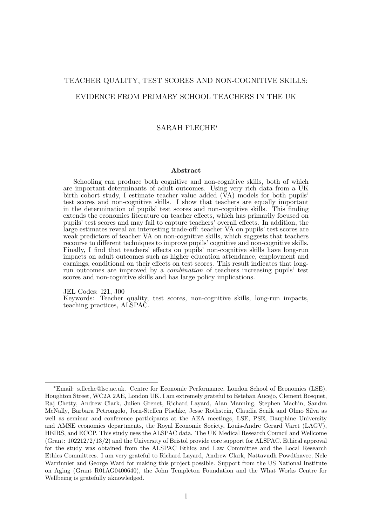# TEACHER QUALITY, TEST SCORES AND NON-COGNITIVE SKILLS: EVIDENCE FROM PRIMARY SCHOOL TEACHERS IN THE UK

#### SARAH FLECHE<sup>∗</sup>

#### Abstract

Schooling can produce both cognitive and non-cognitive skills, both of which are important determinants of adult outcomes. Using very rich data from a UK birth cohort study, I estimate teacher value added ( $\breve{V}A$ ) models for both pupils' test scores and non-cognitive skills. I show that teachers are equally important in the determination of pupils' test scores and non-cognitive skills. This finding extends the economics literature on teacher effects, which has primarily focused on pupils' test scores and may fail to capture teachers' overall effects. In addition, the large estimates reveal an interesting trade-off: teacher VA on pupils' test scores are weak predictors of teacher VA on non-cognitive skills, which suggests that teachers recourse to different techniques to improve pupils' cognitive and non-cognitive skills. Finally, I find that teachers' effects on pupils' non-cognitive skills have long-run impacts on adult outcomes such as higher education attendance, employment and earnings, conditional on their effects on test scores. This result indicates that longrun outcomes are improved by a combination of teachers increasing pupils' test scores and non-cognitive skills and has large policy implications.

JEL Codes: I21, J00

Keywords: Teacher quality, test scores, non-cognitive skills, long-run impacts, teaching practices, ALSPAC.

<sup>∗</sup>Email: s.fleche@lse.ac.uk. Centre for Economic Performance, London School of Economics (LSE). Houghton Street, WC2A 2AE, London UK. I am extremely grateful to Esteban Aucejo, Clement Bosquet, Raj Chetty, Andrew Clark, Julien Grenet, Richard Layard, Alan Manning, Stephen Machin, Sandra McNally, Barbara Petrongolo, Jorn-Steffen Pischke, Jesse Rothstein, Claudia Senik and Olmo Silva as well as seminar and conference participants at the AEA meetings, LSE, PSE, Dauphine University and AMSE economics departments, the Royal Economic Society, Louis-Andre Gerard Varet (LAGV), HEIRS, and ECCP. This study uses the ALSPAC data. The UK Medical Research Council and Wellcome (Grant: 102212/2/13/2) and the University of Bristol provide core support for ALSPAC. Ethical approval for the study was obtained from the ALSPAC Ethics and Law Committee and the Local Research Ethics Committees. I am very grateful to Richard Layard, Andrew Clark, Nattavudh Powdthavee, Nele Warrinnier and George Ward for making this project possible. Support from the US National Institute on Aging (Grant R01AG0400640), the John Templeton Foundation and the What Works Centre for Wellbeing is gratefully aknowledged.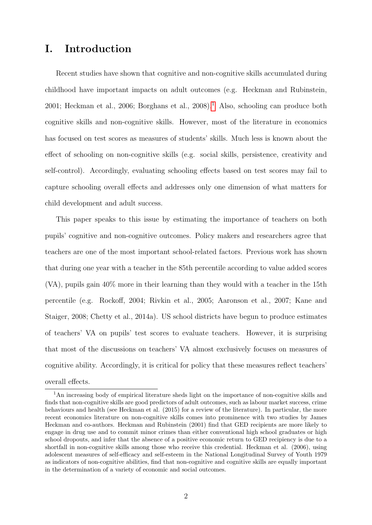# I. Introduction

Recent studies have shown that cognitive and non-cognitive skills accumulated during childhood have important impacts on adult outcomes (e.g. Heckman and Rubinstein, 200[1](#page-1-0); Heckman et al., 2006; Borghans et al., 2008).<sup>1</sup> Also, schooling can produce both cognitive skills and non-cognitive skills. However, most of the literature in economics has focused on test scores as measures of students' skills. Much less is known about the effect of schooling on non-cognitive skills (e.g. social skills, persistence, creativity and self-control). Accordingly, evaluating schooling effects based on test scores may fail to capture schooling overall effects and addresses only one dimension of what matters for child development and adult success.

This paper speaks to this issue by estimating the importance of teachers on both pupils' cognitive and non-cognitive outcomes. Policy makers and researchers agree that teachers are one of the most important school-related factors. Previous work has shown that during one year with a teacher in the 85th percentile according to value added scores (VA), pupils gain 40% more in their learning than they would with a teacher in the 15th percentile (e.g. Rockoff, 2004; Rivkin et al., 2005; Aaronson et al., 2007; Kane and Staiger, 2008; Chetty et al., 2014a). US school districts have begun to produce estimates of teachers' VA on pupils' test scores to evaluate teachers. However, it is surprising that most of the discussions on teachers' VA almost exclusively focuses on measures of cognitive ability. Accordingly, it is critical for policy that these measures reflect teachers' overall effects.

<span id="page-1-0"></span><sup>&</sup>lt;sup>1</sup>An increasing body of empirical literature sheds light on the importance of non-cognitive skills and finds that non-cognitive skills are good predictors of adult outcomes, such as labour market success, crime behaviours and health (see Heckman et al. (2015) for a review of the literature). In particular, the more recent economics literature on non-cognitive skills comes into prominence with two studies by James Heckman and co-authors. Heckman and Rubinstein (2001) find that GED recipients are more likely to engage in drug use and to commit minor crimes than either conventional high school graduates or high school dropouts, and infer that the absence of a positive economic return to GED recipiency is due to a shortfall in non-cognitive skills among those who receive this credential. Heckman et al. (2006), using adolescent measures of self-efficacy and self-esteem in the National Longitudinal Survey of Youth 1979 as indicators of non-cognitive abilities, find that non-cognitive and cognitive skills are equally important in the determination of a variety of economic and social outcomes.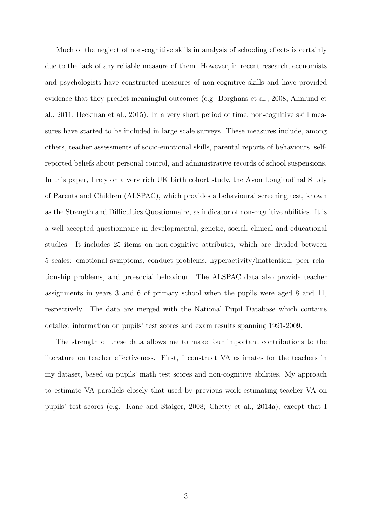Much of the neglect of non-cognitive skills in analysis of schooling effects is certainly due to the lack of any reliable measure of them. However, in recent research, economists and psychologists have constructed measures of non-cognitive skills and have provided evidence that they predict meaningful outcomes (e.g. Borghans et al., 2008; Almlund et al., 2011; Heckman et al., 2015). In a very short period of time, non-cognitive skill measures have started to be included in large scale surveys. These measures include, among others, teacher assessments of socio-emotional skills, parental reports of behaviours, selfreported beliefs about personal control, and administrative records of school suspensions. In this paper, I rely on a very rich UK birth cohort study, the Avon Longitudinal Study of Parents and Children (ALSPAC), which provides a behavioural screening test, known as the Strength and Difficulties Questionnaire, as indicator of non-cognitive abilities. It is a well-accepted questionnaire in developmental, genetic, social, clinical and educational studies. It includes 25 items on non-cognitive attributes, which are divided between 5 scales: emotional symptoms, conduct problems, hyperactivity/inattention, peer relationship problems, and pro-social behaviour. The ALSPAC data also provide teacher assignments in years 3 and 6 of primary school when the pupils were aged 8 and 11, respectively. The data are merged with the National Pupil Database which contains detailed information on pupils' test scores and exam results spanning 1991-2009.

The strength of these data allows me to make four important contributions to the literature on teacher effectiveness. First, I construct VA estimates for the teachers in my dataset, based on pupils' math test scores and non-cognitive abilities. My approach to estimate VA parallels closely that used by previous work estimating teacher VA on pupils' test scores (e.g. Kane and Staiger, 2008; Chetty et al., 2014a), except that I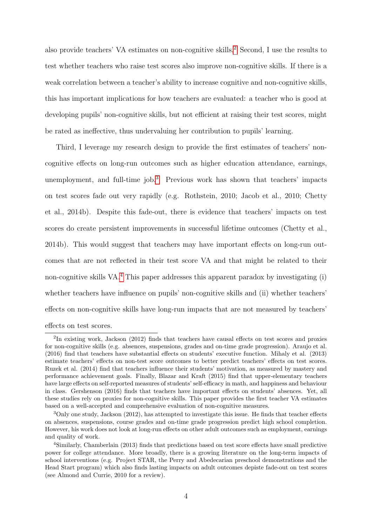also provide teachers' VA estimates on non-cognitive skills.[2](#page-3-0) Second, I use the results to test whether teachers who raise test scores also improve non-cognitive skills. If there is a weak correlation between a teacher's ability to increase cognitive and non-cognitive skills, this has important implications for how teachers are evaluated: a teacher who is good at developing pupils' non-cognitive skills, but not efficient at raising their test scores, might be rated as ineffective, thus undervaluing her contribution to pupils' learning.

Third, I leverage my research design to provide the first estimates of teachers' noncognitive effects on long-run outcomes such as higher education attendance, earnings, unemployment, and full-time job.<sup>[3](#page-3-1)</sup> Previous work has shown that teachers' impacts on test scores fade out very rapidly (e.g. Rothstein, 2010; Jacob et al., 2010; Chetty et al., 2014b). Despite this fade-out, there is evidence that teachers' impacts on test scores do create persistent improvements in successful lifetime outcomes (Chetty et al., 2014b). This would suggest that teachers may have important effects on long-run outcomes that are not reflected in their test score VA and that might be related to their non-cognitive skills VA.<sup>[4](#page-3-2)</sup> This paper addresses this apparent paradox by investigating (i) whether teachers have influence on pupils' non-cognitive skills and (ii) whether teachers' effects on non-cognitive skills have long-run impacts that are not measured by teachers' effects on test scores.

<span id="page-3-0"></span><sup>&</sup>lt;sup>2</sup>In existing work, Jackson (2012) finds that teachers have causal effects on test scores and proxies for non-cognitive skills (e.g. absences, suspensions, grades and on-time grade progression). Araujo et al. (2016) find that teachers have substantial effects on students' executive function. Mihaly et al. (2013) estimate teachers' effects on non-test score outcomes to better predict teachers' effects on test scores. Ruzek et al. (2014) find that teachers influence their students' motivation, as measured by mastery and performance achievement goals. Finally, Blazar and Kraft (2015) find that upper-elementary teachers have large effects on self-reported measures of students' self-efficacy in math, and happiness and behaviour in class. Gershenson (2016) finds that teachers have important effects on students' absences. Yet, all these studies rely on proxies for non-cognitive skills. This paper provides the first teacher VA estimates based on a well-accepted and comprehensive evaluation of non-cognitive measures.

<span id="page-3-1"></span><sup>3</sup>Only one study, Jackson (2012), has attempted to investigate this issue. He finds that teacher effects on absences, suspensions, course grades and on-time grade progression predict high school completion. However, his work does not look at long-run effects on other adult outcomes such as employment, earnings and quality of work.

<span id="page-3-2"></span><sup>4</sup>Similarly, Chamberlain (2013) finds that predictions based on test score effects have small predictive power for college attendance. More broadly, there is a growing literature on the long-term impacts of school interventions (e.g. Project STAR, the Perry and Abedecarian preschool demonstrations and the Head Start program) which also finds lasting impacts on adult outcomes depiste fade-out on test scores (see Almond and Currie, 2010 for a review).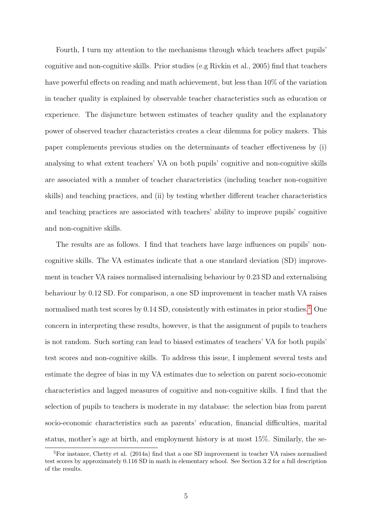Fourth, I turn my attention to the mechanisms through which teachers affect pupils' cognitive and non-cognitive skills. Prior studies (e.g Rivkin et al., 2005) find that teachers have powerful effects on reading and math achievement, but less than 10% of the variation in teacher quality is explained by observable teacher characteristics such as education or experience. The disjuncture between estimates of teacher quality and the explanatory power of observed teacher characteristics creates a clear dilemma for policy makers. This paper complements previous studies on the determinants of teacher effectiveness by (i) analysing to what extent teachers' VA on both pupils' cognitive and non-cognitive skills are associated with a number of teacher characteristics (including teacher non-cognitive skills) and teaching practices, and (ii) by testing whether different teacher characteristics and teaching practices are associated with teachers' ability to improve pupils' cognitive and non-cognitive skills.

The results are as follows. I find that teachers have large influences on pupils' noncognitive skills. The VA estimates indicate that a one standard deviation (SD) improvement in teacher VA raises normalised internalising behaviour by 0.23 SD and externalising behaviour by 0.12 SD. For comparison, a one SD improvement in teacher math VA raises normalised math test scores by 0.14 SD, consistently with estimates in prior studies.<sup>[5](#page-4-0)</sup> One concern in interpreting these results, however, is that the assignment of pupils to teachers is not random. Such sorting can lead to biased estimates of teachers' VA for both pupils' test scores and non-cognitive skills. To address this issue, I implement several tests and estimate the degree of bias in my VA estimates due to selection on parent socio-economic characteristics and lagged measures of cognitive and non-cognitive skills. I find that the selection of pupils to teachers is moderate in my database: the selection bias from parent socio-economic characteristics such as parents' education, financial difficulties, marital status, mother's age at birth, and employment history is at most 15%. Similarly, the se-

<span id="page-4-0"></span><sup>5</sup>For instance, Chetty et al. (2014a) find that a one SD improvement in teacher VA raises normalised test scores by approximately 0.116 SD in math in elementary school. See Section 3.2 for a full description of the results.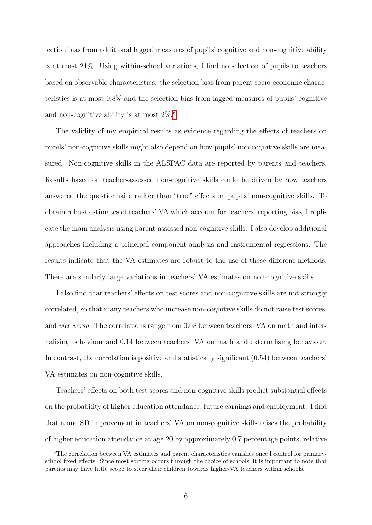lection bias from additional lagged measures of pupils' cognitive and non-cognitive ability is at most 21%. Using within-school variations, I find no selection of pupils to teachers based on observable characteristics: the selection bias from parent socio-economic characteristics is at most 0.8% and the selection bias from lagged measures of pupils' cognitive and non-cognitive ability is at most  $2\%$ .<sup>[6](#page-5-0)</sup>

The validity of my empirical results as evidence regarding the effects of teachers on pupils' non-cognitive skills might also depend on how pupils' non-cognitive skills are measured. Non-cognitive skills in the ALSPAC data are reported by parents and teachers. Results based on teacher-assessed non-cognitive skills could be driven by how teachers answered the questionnaire rather than "true" effects on pupils' non-cognitive skills. To obtain robust estimates of teachers' VA which account for teachers' reporting bias, I replicate the main analysis using parent-assessed non-cognitive skills. I also develop additional approaches including a principal component analysis and instrumental regressions. The results indicate that the VA estimates are robust to the use of these different methods. There are similarly large variations in teachers' VA estimates on non-cognitive skills.

I also find that teachers' effects on test scores and non-cognitive skills are not strongly correlated, so that many teachers who increase non-cognitive skills do not raise test scores, and vice versa. The correlations range from 0.08 between teachers' VA on math and internalising behaviour and 0.14 between teachers' VA on math and externalising behaviour. In contrast, the correlation is positive and statistically significant (0.54) between teachers' VA estimates on non-cognitive skills.

Teachers' effects on both test scores and non-cognitive skills predict substantial effects on the probability of higher education attendance, future earnings and employment. I find that a one SD improvement in teachers' VA on non-cognitive skills raises the probability of higher education attendance at age 20 by approximately 0.7 percentage points, relative

<span id="page-5-0"></span><sup>&</sup>lt;sup>6</sup>The correlation between VA estimates and parent characteristics vanishes once I control for primaryschool fixed effects. Since most sorting occurs through the choice of schools, it is important to note that parents may have little scope to steer their children towards higher-VA teachers within schools.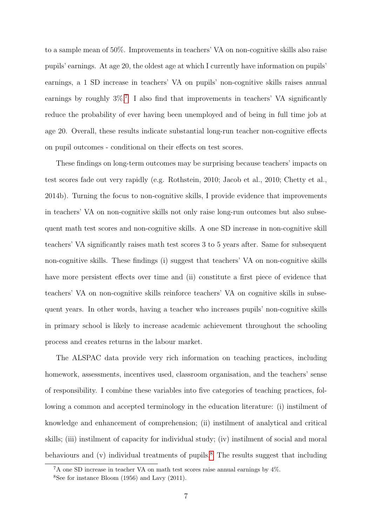to a sample mean of 50%. Improvements in teachers' VA on non-cognitive skills also raise pupils' earnings. At age 20, the oldest age at which I currently have information on pupils' earnings, a 1 SD increase in teachers' VA on pupils' non-cognitive skills raises annual earnings by roughly  $3\%$ .<sup>[7](#page-6-0)</sup> I also find that improvements in teachers' VA significantly reduce the probability of ever having been unemployed and of being in full time job at age 20. Overall, these results indicate substantial long-run teacher non-cognitive effects on pupil outcomes - conditional on their effects on test scores.

These findings on long-term outcomes may be surprising because teachers' impacts on test scores fade out very rapidly (e.g. Rothstein, 2010; Jacob et al., 2010; Chetty et al., 2014b). Turning the focus to non-cognitive skills, I provide evidence that improvements in teachers' VA on non-cognitive skills not only raise long-run outcomes but also subsequent math test scores and non-cognitive skills. A one SD increase in non-cognitive skill teachers' VA significantly raises math test scores 3 to 5 years after. Same for subsequent non-cognitive skills. These findings (i) suggest that teachers' VA on non-cognitive skills have more persistent effects over time and (ii) constitute a first piece of evidence that teachers' VA on non-cognitive skills reinforce teachers' VA on cognitive skills in subsequent years. In other words, having a teacher who increases pupils' non-cognitive skills in primary school is likely to increase academic achievement throughout the schooling process and creates returns in the labour market.

The ALSPAC data provide very rich information on teaching practices, including homework, assessments, incentives used, classroom organisation, and the teachers' sense of responsibility. I combine these variables into five categories of teaching practices, following a common and accepted terminology in the education literature: (i) instilment of knowledge and enhancement of comprehension; (ii) instilment of analytical and critical skills; (iii) instilment of capacity for individual study; (iv) instilment of social and moral behaviours and  $(v)$  individual treatments of pupils.<sup>[8](#page-6-1)</sup> The results suggest that including

<span id="page-6-0"></span><sup>7</sup>A one SD increase in teacher VA on math test scores raise annual earnings by 4%.

<span id="page-6-1"></span> $8$ See for instance Bloom (1956) and Lavy (2011).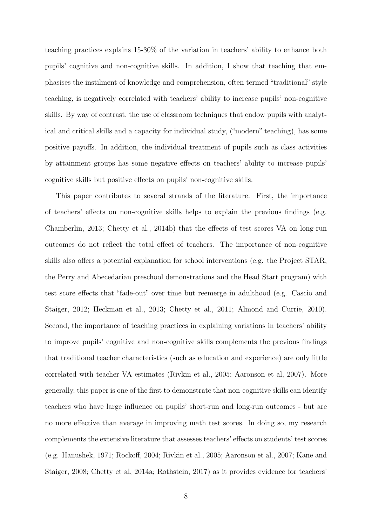teaching practices explains 15-30% of the variation in teachers' ability to enhance both pupils' cognitive and non-cognitive skills. In addition, I show that teaching that emphasises the instilment of knowledge and comprehension, often termed "traditional"-style teaching, is negatively correlated with teachers' ability to increase pupils' non-cognitive skills. By way of contrast, the use of classroom techniques that endow pupils with analytical and critical skills and a capacity for individual study, ("modern" teaching), has some positive payoffs. In addition, the individual treatment of pupils such as class activities by attainment groups has some negative effects on teachers' ability to increase pupils' cognitive skills but positive effects on pupils' non-cognitive skills.

This paper contributes to several strands of the literature. First, the importance of teachers' effects on non-cognitive skills helps to explain the previous findings (e.g. Chamberlin, 2013; Chetty et al., 2014b) that the effects of test scores VA on long-run outcomes do not reflect the total effect of teachers. The importance of non-cognitive skills also offers a potential explanation for school interventions (e.g. the Project STAR, the Perry and Abecedarian preschool demonstrations and the Head Start program) with test score effects that "fade-out" over time but reemerge in adulthood (e.g. Cascio and Staiger, 2012; Heckman et al., 2013; Chetty et al., 2011; Almond and Currie, 2010). Second, the importance of teaching practices in explaining variations in teachers' ability to improve pupils' cognitive and non-cognitive skills complements the previous findings that traditional teacher characteristics (such as education and experience) are only little correlated with teacher VA estimates (Rivkin et al., 2005; Aaronson et al, 2007). More generally, this paper is one of the first to demonstrate that non-cognitive skills can identify teachers who have large influence on pupils' short-run and long-run outcomes - but are no more effective than average in improving math test scores. In doing so, my research complements the extensive literature that assesses teachers' effects on students' test scores (e.g. Hanushek, 1971; Rockoff, 2004; Rivkin et al., 2005; Aaronson et al., 2007; Kane and Staiger, 2008; Chetty et al, 2014a; Rothstein, 2017) as it provides evidence for teachers'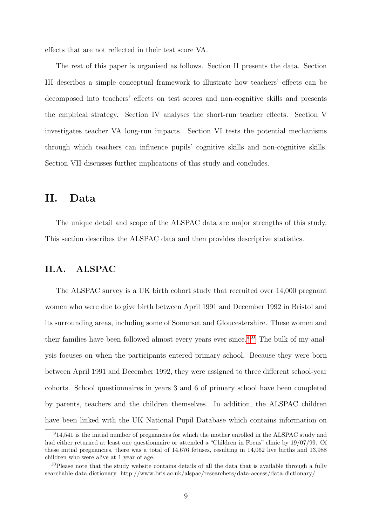effects that are not reflected in their test score VA.

The rest of this paper is organised as follows. Section II presents the data. Section III describes a simple conceptual framework to illustrate how teachers' effects can be decomposed into teachers' effects on test scores and non-cognitive skills and presents the empirical strategy. Section IV analyses the short-run teacher effects. Section V investigates teacher VA long-run impacts. Section VI tests the potential mechanisms through which teachers can influence pupils' cognitive skills and non-cognitive skills. Section VII discusses further implications of this study and concludes.

# II. Data

The unique detail and scope of the ALSPAC data are major strengths of this study. This section describes the ALSPAC data and then provides descriptive statistics.

## II.A. ALSPAC

The ALSPAC survey is a UK birth cohort study that recruited over 14,000 pregnant women who were due to give birth between April 1991 and December 1992 in Bristol and its surrounding areas, including some of Somerset and Gloucestershire. These women and their families have been followed almost every years ever since.<sup>[9](#page-8-0)[10](#page-8-1)</sup> The bulk of my analysis focuses on when the participants entered primary school. Because they were born between April 1991 and December 1992, they were assigned to three different school-year cohorts. School questionnaires in years 3 and 6 of primary school have been completed by parents, teachers and the children themselves. In addition, the ALSPAC children have been linked with the UK National Pupil Database which contains information on

<span id="page-8-0"></span><sup>&</sup>lt;sup>9</sup>14,541 is the initial number of pregnancies for which the mother enrolled in the ALSPAC study and had either returned at least one questionnaire or attended a "Children in Focus" clinic by 19/07/99. Of these initial pregnancies, there was a total of 14,676 fetuses, resulting in 14,062 live births and 13,988 children who were alive at 1 year of age.

<span id="page-8-1"></span><sup>&</sup>lt;sup>10</sup>Please note that the study website contains details of all the data that is available through a fully searchable data dictionary. http://www.bris.ac.uk/alspac/researchers/data-access/data-dictionary/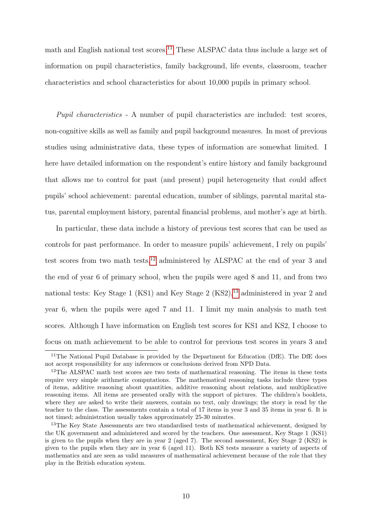math and English national test scores.<sup>[11](#page-9-0)</sup> These ALSPAC data thus include a large set of information on pupil characteristics, family background, life events, classroom, teacher characteristics and school characteristics for about 10,000 pupils in primary school.

Pupil characteristics - A number of pupil characteristics are included: test scores, non-cognitive skills as well as family and pupil background measures. In most of previous studies using administrative data, these types of information are somewhat limited. I here have detailed information on the respondent's entire history and family background that allows me to control for past (and present) pupil heterogeneity that could affect pupils' school achievement: parental education, number of siblings, parental marital status, parental employment history, parental financial problems, and mother's age at birth.

In particular, these data include a history of previous test scores that can be used as controls for past performance. In order to measure pupils' achievement, I rely on pupils' test scores from two math tests,<sup>[12](#page-9-1)</sup> administered by ALSPAC at the end of year 3 and the end of year 6 of primary school, when the pupils were aged 8 and 11, and from two national tests: Key Stage 1 (KS1) and Key Stage 2 (KS2),  $^{13}$  $^{13}$  $^{13}$  administered in year 2 and year 6, when the pupils were aged 7 and 11. I limit my main analysis to math test scores. Although I have information on English test scores for KS1 and KS2, I choose to focus on math achievement to be able to control for previous test scores in years 3 and

<span id="page-9-0"></span><sup>&</sup>lt;sup>11</sup>The National Pupil Database is provided by the Department for Education (DfE). The DfE does not accept responsibility for any inferences or conclusions derived from NPD Data.

<span id="page-9-1"></span><sup>&</sup>lt;sup>12</sup>The ALSPAC math test scores are two tests of mathematical reasoning. The items in these tests require very simple arithmetic computations. The mathematical reasoning tasks include three types of items, additive reasoning about quantities, additive reasoning about relations, and multiplicative reasoning items. All items are presented orally with the support of pictures. The children's booklets, where they are asked to write their answers, contain no text, only drawings; the story is read by the teacher to the class. The assessments contain a total of 17 items in year 3 and 35 items in year 6. It is not timed; administration usually takes approximately 25-30 minutes.

<span id="page-9-2"></span><sup>&</sup>lt;sup>13</sup>The Key State Assessments are two standardised tests of mathematical achievement, designed by the UK government and administered and scored by the teachers. One assessment, Key Stage 1 (KS1) is given to the pupils when they are in year 2 (aged 7). The second assessment, Key Stage 2 (KS2) is given to the pupils when they are in year 6 (aged 11). Both KS tests measure a variety of aspects of mathematics and are seen as valid measures of mathematical achievement because of the role that they play in the British education system.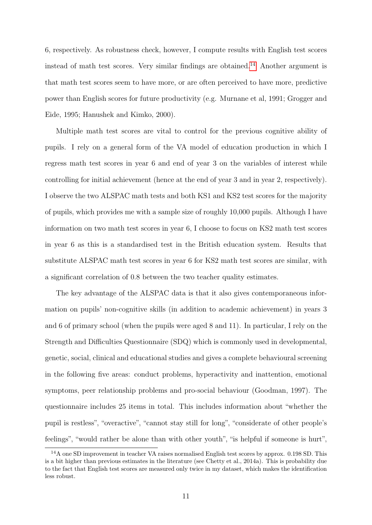6, respectively. As robustness check, however, I compute results with English test scores instead of math test scores. Very similar findings are obtained.<sup>[14](#page-10-0)</sup> Another argument is that math test scores seem to have more, or are often perceived to have more, predictive power than English scores for future productivity (e.g. Murnane et al, 1991; Grogger and Eide, 1995; Hanushek and Kimko, 2000).

Multiple math test scores are vital to control for the previous cognitive ability of pupils. I rely on a general form of the VA model of education production in which I regress math test scores in year 6 and end of year 3 on the variables of interest while controlling for initial achievement (hence at the end of year 3 and in year 2, respectively). I observe the two ALSPAC math tests and both KS1 and KS2 test scores for the majority of pupils, which provides me with a sample size of roughly 10,000 pupils. Although I have information on two math test scores in year 6, I choose to focus on KS2 math test scores in year 6 as this is a standardised test in the British education system. Results that substitute ALSPAC math test scores in year 6 for KS2 math test scores are similar, with a significant correlation of 0.8 between the two teacher quality estimates.

The key advantage of the ALSPAC data is that it also gives contemporaneous information on pupils' non-cognitive skills (in addition to academic achievement) in years 3 and 6 of primary school (when the pupils were aged 8 and 11). In particular, I rely on the Strength and Difficulties Questionnaire (SDQ) which is commonly used in developmental, genetic, social, clinical and educational studies and gives a complete behavioural screening in the following five areas: conduct problems, hyperactivity and inattention, emotional symptoms, peer relationship problems and pro-social behaviour (Goodman, 1997). The questionnaire includes 25 items in total. This includes information about "whether the pupil is restless", "overactive", "cannot stay still for long", "considerate of other people's feelings", "would rather be alone than with other youth", "is helpful if someone is hurt",

<span id="page-10-0"></span><sup>14</sup>A one SD improvement in teacher VA raises normalised English test scores by approx. 0.198 SD. This is a bit higher than previous estimates in the literature (see Chetty et al., 2014a). This is probability due to the fact that English test scores are measured only twice in my dataset, which makes the identification less robust.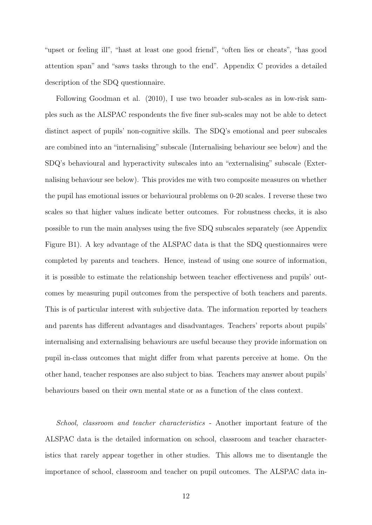"upset or feeling ill", "hast at least one good friend", "often lies or cheats", "has good attention span" and "saws tasks through to the end". Appendix C provides a detailed description of the SDQ questionnaire.

Following Goodman et al. (2010), I use two broader sub-scales as in low-risk samples such as the ALSPAC respondents the five finer sub-scales may not be able to detect distinct aspect of pupils' non-cognitive skills. The SDQ's emotional and peer subscales are combined into an "internalising" subscale (Internalising behaviour see below) and the SDQ's behavioural and hyperactivity subscales into an "externalising" subscale (Externalising behaviour see below). This provides me with two composite measures on whether the pupil has emotional issues or behavioural problems on 0-20 scales. I reverse these two scales so that higher values indicate better outcomes. For robustness checks, it is also possible to run the main analyses using the five SDQ subscales separately (see Appendix Figure B1). A key advantage of the ALSPAC data is that the SDQ questionnaires were completed by parents and teachers. Hence, instead of using one source of information, it is possible to estimate the relationship between teacher effectiveness and pupils' outcomes by measuring pupil outcomes from the perspective of both teachers and parents. This is of particular interest with subjective data. The information reported by teachers and parents has different advantages and disadvantages. Teachers' reports about pupils' internalising and externalising behaviours are useful because they provide information on pupil in-class outcomes that might differ from what parents perceive at home. On the other hand, teacher responses are also subject to bias. Teachers may answer about pupils' behaviours based on their own mental state or as a function of the class context.

School, classroom and teacher characteristics - Another important feature of the ALSPAC data is the detailed information on school, classroom and teacher characteristics that rarely appear together in other studies. This allows me to disentangle the importance of school, classroom and teacher on pupil outcomes. The ALSPAC data in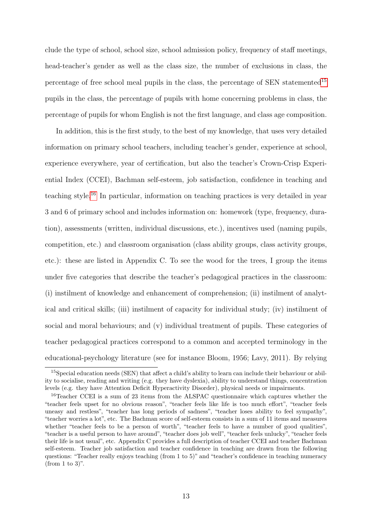clude the type of school, school size, school admission policy, frequency of staff meetings, head-teacher's gender as well as the class size, the number of exclusions in class, the percentage of free school meal pupils in the class, the percentage of SEN statemented<sup>[15](#page-12-0)</sup> pupils in the class, the percentage of pupils with home concerning problems in class, the percentage of pupils for whom English is not the first language, and class age composition.

In addition, this is the first study, to the best of my knowledge, that uses very detailed information on primary school teachers, including teacher's gender, experience at school, experience everywhere, year of certification, but also the teacher's Crown-Crisp Experiential Index (CCEI), Bachman self-esteem, job satisfaction, confidence in teaching and teaching style.[16](#page-12-1) In particular, information on teaching practices is very detailed in year 3 and 6 of primary school and includes information on: homework (type, frequency, duration), assessments (written, individual discussions, etc.), incentives used (naming pupils, competition, etc.) and classroom organisation (class ability groups, class activity groups, etc.): these are listed in Appendix C. To see the wood for the trees, I group the items under five categories that describe the teacher's pedagogical practices in the classroom: (i) instilment of knowledge and enhancement of comprehension; (ii) instilment of analytical and critical skills; (iii) instilment of capacity for individual study; (iv) instilment of social and moral behaviours; and (v) individual treatment of pupils. These categories of teacher pedagogical practices correspond to a common and accepted terminology in the educational-psychology literature (see for instance Bloom, 1956; Lavy, 2011). By relying

<span id="page-12-0"></span><sup>15</sup>Special education needs (SEN) that affect a child's ability to learn can include their behaviour or ability to socialise, reading and writing (e.g. they have dyslexia), ability to understand things, concentration levels (e.g. they have Attention Deficit Hyperactivity Disorder), physical needs or impairments.

<span id="page-12-1"></span><sup>&</sup>lt;sup>16</sup>Teacher CCEI is a sum of 23 items from the ALSPAC questionnaire which captures whether the "teacher feels upset for no obvious reason", "teacher feels like life is too much effort", "teacher feels uneasy and restless", "teacher has long periods of sadness", "teacher loses ability to feel sympathy", "teacher worries a lot", etc. The Bachman score of self-esteem consists in a sum of 11 items and measures whether "teacher feels to be a person of worth", "teacher feels to have a number of good qualities", "teacher is a useful person to have around", "teacher does job well", "teacher feels unlucky", "teacher feels their life is not usual", etc. Appendix C provides a full description of teacher CCEI and teacher Bachman self-esteem. Teacher job satisfaction and teacher confidence in teaching are drawn from the following questions: "Teacher really enjoys teaching (from 1 to 5)" and "teacher's confidence in teaching numeracy (from 1 to 3)".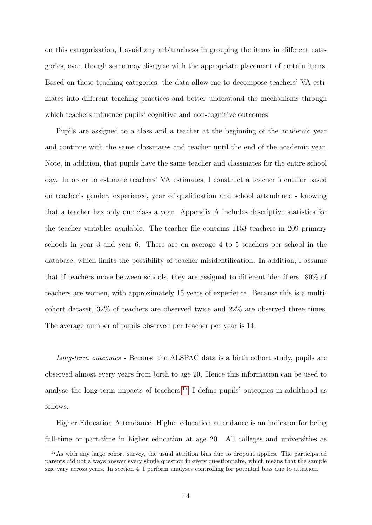on this categorisation, I avoid any arbitrariness in grouping the items in different categories, even though some may disagree with the appropriate placement of certain items. Based on these teaching categories, the data allow me to decompose teachers' VA estimates into different teaching practices and better understand the mechanisms through which teachers influence pupils' cognitive and non-cognitive outcomes.

Pupils are assigned to a class and a teacher at the beginning of the academic year and continue with the same classmates and teacher until the end of the academic year. Note, in addition, that pupils have the same teacher and classmates for the entire school day. In order to estimate teachers' VA estimates, I construct a teacher identifier based on teacher's gender, experience, year of qualification and school attendance - knowing that a teacher has only one class a year. Appendix A includes descriptive statistics for the teacher variables available. The teacher file contains 1153 teachers in 209 primary schools in year 3 and year 6. There are on average 4 to 5 teachers per school in the database, which limits the possibility of teacher misidentification. In addition, I assume that if teachers move between schools, they are assigned to different identifiers. 80% of teachers are women, with approximately 15 years of experience. Because this is a multicohort dataset, 32% of teachers are observed twice and 22% are observed three times. The average number of pupils observed per teacher per year is 14.

Long-term outcomes - Because the ALSPAC data is a birth cohort study, pupils are observed almost every years from birth to age 20. Hence this information can be used to analyse the long-term impacts of teachers.<sup>[17](#page-13-0)</sup> I define pupils' outcomes in adulthood as follows.

Higher Education Attendance. Higher education attendance is an indicator for being full-time or part-time in higher education at age 20. All colleges and universities as

<span id="page-13-0"></span><sup>&</sup>lt;sup>17</sup>As with any large cohort survey, the usual attrition bias due to dropout applies. The participated parents did not always answer every single question in every questionnaire, which means that the sample size vary across years. In section 4, I perform analyses controlling for potential bias due to attrition.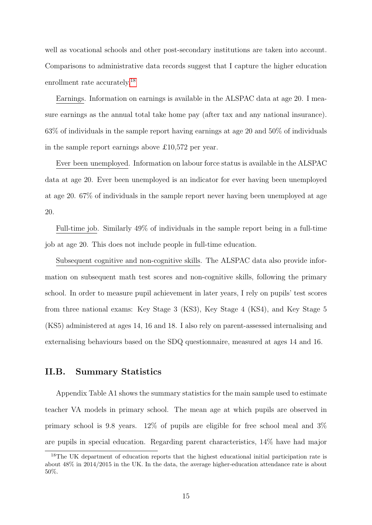well as vocational schools and other post-secondary institutions are taken into account. Comparisons to administrative data records suggest that I capture the higher education enrollment rate accurately.<sup>[18](#page-14-0)</sup>

Earnings. Information on earnings is available in the ALSPAC data at age 20. I measure earnings as the annual total take home pay (after tax and any national insurance). 63% of individuals in the sample report having earnings at age 20 and 50% of individuals in the sample report earnings above £10,572 per year.

Ever been unemployed. Information on labour force status is available in the ALSPAC data at age 20. Ever been unemployed is an indicator for ever having been unemployed at age 20. 67% of individuals in the sample report never having been unemployed at age 20.

Full-time job. Similarly 49% of individuals in the sample report being in a full-time job at age 20. This does not include people in full-time education.

Subsequent cognitive and non-cognitive skills. The ALSPAC data also provide information on subsequent math test scores and non-cognitive skills, following the primary school. In order to measure pupil achievement in later years, I rely on pupils' test scores from three national exams: Key Stage 3 (KS3), Key Stage 4 (KS4), and Key Stage 5 (KS5) administered at ages 14, 16 and 18. I also rely on parent-assessed internalising and externalising behaviours based on the SDQ questionnaire, measured at ages 14 and 16.

## II.B. Summary Statistics

Appendix Table A1 shows the summary statistics for the main sample used to estimate teacher VA models in primary school. The mean age at which pupils are observed in primary school is 9.8 years. 12% of pupils are eligible for free school meal and 3% are pupils in special education. Regarding parent characteristics, 14% have had major

<span id="page-14-0"></span><sup>&</sup>lt;sup>18</sup>The UK department of education reports that the highest educational initial participation rate is about 48% in 2014/2015 in the UK. In the data, the average higher-education attendance rate is about 50%.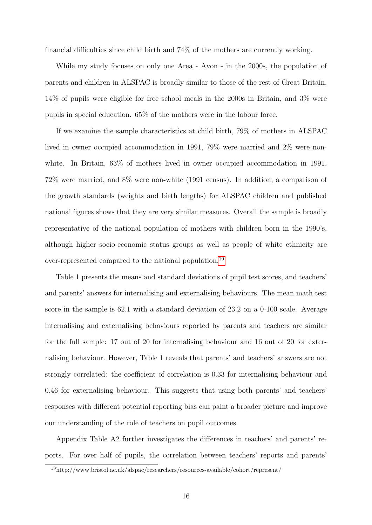financial difficulties since child birth and 74% of the mothers are currently working.

While my study focuses on only one Area - Avon - in the 2000s, the population of parents and children in ALSPAC is broadly similar to those of the rest of Great Britain. 14% of pupils were eligible for free school meals in the 2000s in Britain, and 3% were pupils in special education. 65% of the mothers were in the labour force.

If we examine the sample characteristics at child birth, 79% of mothers in ALSPAC lived in owner occupied accommodation in 1991, 79% were married and 2% were nonwhite. In Britain,  $63\%$  of mothers lived in owner occupied accommodation in 1991, 72% were married, and 8% were non-white (1991 census). In addition, a comparison of the growth standards (weights and birth lengths) for ALSPAC children and published national figures shows that they are very similar measures. Overall the sample is broadly representative of the national population of mothers with children born in the 1990's, although higher socio-economic status groups as well as people of white ethnicity are over-represented compared to the national population.[19](#page-15-0)

Table 1 presents the means and standard deviations of pupil test scores, and teachers' and parents' answers for internalising and externalising behaviours. The mean math test score in the sample is 62.1 with a standard deviation of 23.2 on a 0-100 scale. Average internalising and externalising behaviours reported by parents and teachers are similar for the full sample: 17 out of 20 for internalising behaviour and 16 out of 20 for externalising behaviour. However, Table 1 reveals that parents' and teachers' answers are not strongly correlated: the coefficient of correlation is 0.33 for internalising behaviour and 0.46 for externalising behaviour. This suggests that using both parents' and teachers' responses with different potential reporting bias can paint a broader picture and improve our understanding of the role of teachers on pupil outcomes.

Appendix Table A2 further investigates the differences in teachers' and parents' reports. For over half of pupils, the correlation between teachers' reports and parents'

<span id="page-15-0"></span><sup>19</sup>http://www.bristol.ac.uk/alspac/researchers/resources-available/cohort/represent/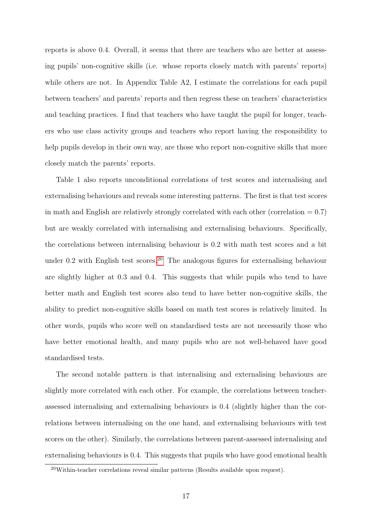reports is above 0.4. Overall, it seems that there are teachers who are better at assessing pupils' non-cognitive skills (i.e. whose reports closely match with parents' reports) while others are not. In Appendix Table A2, I estimate the correlations for each pupil between teachers' and parents' reports and then regress these on teachers' characteristics and teaching practices. I find that teachers who have taught the pupil for longer, teachers who use class activity groups and teachers who report having the responsibility to help pupils develop in their own way, are those who report non-cognitive skills that more closely match the parents' reports.

Table 1 also reports unconditional correlations of test scores and internalising and externalising behaviours and reveals some interesting patterns. The first is that test scores in math and English are relatively strongly correlated with each other (correlation  $= 0.7$ ) but are weakly correlated with internalising and externalising behaviours. Specifically, the correlations between internalising behaviour is 0.2 with math test scores and a bit under 0.2 with English test scores.<sup>[20](#page-16-0)</sup> The analogous figures for externalising behaviour are slightly higher at 0.3 and 0.4. This suggests that while pupils who tend to have better math and English test scores also tend to have better non-cognitive skills, the ability to predict non-cognitive skills based on math test scores is relatively limited. In other words, pupils who score well on standardised tests are not necessarily those who have better emotional health, and many pupils who are not well-behaved have good standardised tests.

The second notable pattern is that internalising and externalising behaviours are slightly more correlated with each other. For example, the correlations between teacherassessed internalising and externalising behaviours is 0.4 (slightly higher than the correlations between internalising on the one hand, and externalising behaviours with test scores on the other). Similarly, the correlations between parent-assessed internalising and externalising behaviours is 0.4. This suggests that pupils who have good emotional health

<span id="page-16-0"></span> $20$ Within-teacher correlations reveal similar patterns (Results available upon request).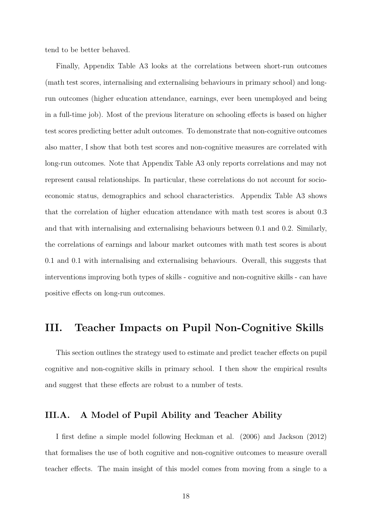tend to be better behaved.

Finally, Appendix Table A3 looks at the correlations between short-run outcomes (math test scores, internalising and externalising behaviours in primary school) and longrun outcomes (higher education attendance, earnings, ever been unemployed and being in a full-time job). Most of the previous literature on schooling effects is based on higher test scores predicting better adult outcomes. To demonstrate that non-cognitive outcomes also matter, I show that both test scores and non-cognitive measures are correlated with long-run outcomes. Note that Appendix Table A3 only reports correlations and may not represent causal relationships. In particular, these correlations do not account for socioeconomic status, demographics and school characteristics. Appendix Table A3 shows that the correlation of higher education attendance with math test scores is about 0.3 and that with internalising and externalising behaviours between 0.1 and 0.2. Similarly, the correlations of earnings and labour market outcomes with math test scores is about 0.1 and 0.1 with internalising and externalising behaviours. Overall, this suggests that interventions improving both types of skills - cognitive and non-cognitive skills - can have positive effects on long-run outcomes.

# III. Teacher Impacts on Pupil Non-Cognitive Skills

This section outlines the strategy used to estimate and predict teacher effects on pupil cognitive and non-cognitive skills in primary school. I then show the empirical results and suggest that these effects are robust to a number of tests.

### III.A. A Model of Pupil Ability and Teacher Ability

I first define a simple model following Heckman et al. (2006) and Jackson (2012) that formalises the use of both cognitive and non-cognitive outcomes to measure overall teacher effects. The main insight of this model comes from moving from a single to a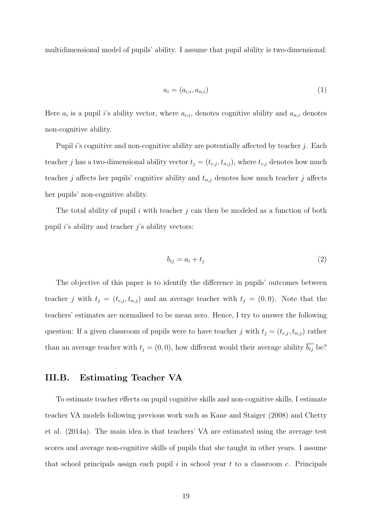multidimensional model of pupils' ability. I assume that pupil ability is two-dimensional:

$$
a_i = (a_{c,i}, a_{n,i})
$$
\n<sup>(1)</sup>

Here  $a_i$  is a pupil i's ability vector, where  $a_{c,i}$ , denotes cognitive ability and  $a_{n,i}$  denotes non-cognitive ability.

Pupil i's cognitive and non-cognitive ability are potentially affected by teacher  $j$ . Each teacher j has a two-dimensional ability vector  $t_j = (t_{c,j}, t_{n,j})$ , where  $t_{c,j}$  denotes how much teacher j affects her pupils' cognitive ability and  $t_{n,j}$  denotes how much teacher j affects her pupils' non-cognitive ability.

The total ability of pupil i with teacher j can then be modeled as a function of both pupil  $i$ 's ability and teacher  $j$ 's ability vectors:

$$
b_{ij} = a_i + t_j \tag{2}
$$

The objective of this paper is to identify the difference in pupils' outcomes between teacher j with  $t_j = (t_{c,j}, t_{n,j})$  and an average teacher with  $t_j = (0, 0)$ . Note that the teachers' estimates are normalised to be mean zero. Hence, I try to answer the following question: If a given classroom of pupils were to have teacher j with  $t_j = (t_{c,j}, t_{n,j})$  rather than an average teacher with  $t_j = (0, 0)$ , how different would their average ability  $\overline{b_{ij}}$  be?

## III.B. Estimating Teacher VA

To estimate teacher effects on pupil cognitive skills and non-cognitive skills, I estimate teacher VA models following previous work such as Kane and Staiger (2008) and Chetty et al. (2014a). The main idea is that teachers' VA are estimated using the average test scores and average non-cognitive skills of pupils that she taught in other years. I assume that school principals assign each pupil  $i$  in school year  $t$  to a classroom  $c$ . Principals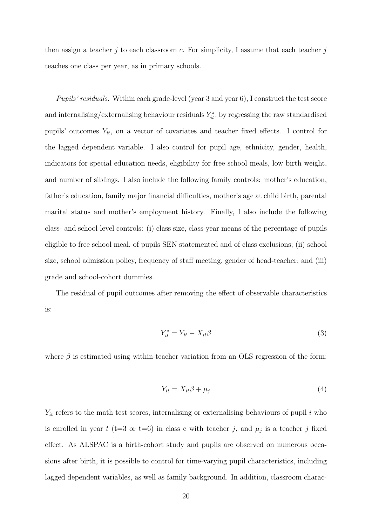then assign a teacher j to each classroom c. For simplicity, I assume that each teacher j teaches one class per year, as in primary schools.

Pupils' residuals. Within each grade-level (year 3 and year 6), I construct the test score and internalising/externalising behaviour residuals  $Y_{it}^*$ , by regressing the raw standardised pupils' outcomes  $Y_{it}$ , on a vector of covariates and teacher fixed effects. I control for the lagged dependent variable. I also control for pupil age, ethnicity, gender, health, indicators for special education needs, eligibility for free school meals, low birth weight, and number of siblings. I also include the following family controls: mother's education, father's education, family major financial difficulties, mother's age at child birth, parental marital status and mother's employment history. Finally, I also include the following class- and school-level controls: (i) class size, class-year means of the percentage of pupils eligible to free school meal, of pupils SEN statemented and of class exclusions; (ii) school size, school admission policy, frequency of staff meeting, gender of head-teacher; and (iii) grade and school-cohort dummies.

The residual of pupil outcomes after removing the effect of observable characteristics is:

$$
Y_{it}^* = Y_{it} - X_{it}\beta
$$
\n<sup>(3)</sup>

where  $\beta$  is estimated using within-teacher variation from an OLS regression of the form:

$$
Y_{it} = X_{it}\beta + \mu_j \tag{4}
$$

 $Y_{it}$  refers to the math test scores, internalising or externalising behaviours of pupil i who is enrolled in year t (t=3 or t=6) in class c with teacher j, and  $\mu_j$  is a teacher j fixed effect. As ALSPAC is a birth-cohort study and pupils are observed on numerous occasions after birth, it is possible to control for time-varying pupil characteristics, including lagged dependent variables, as well as family background. In addition, classroom charac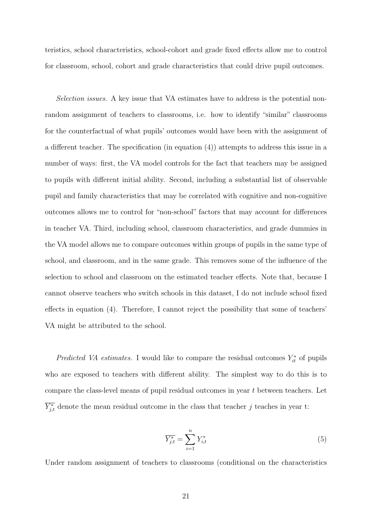teristics, school characteristics, school-cohort and grade fixed effects allow me to control for classroom, school, cohort and grade characteristics that could drive pupil outcomes.

Selection issues. A key issue that VA estimates have to address is the potential nonrandom assignment of teachers to classrooms, i.e. how to identify "similar" classrooms for the counterfactual of what pupils' outcomes would have been with the assignment of a different teacher. The specification (in equation (4)) attempts to address this issue in a number of ways: first, the VA model controls for the fact that teachers may be assigned to pupils with different initial ability. Second, including a substantial list of observable pupil and family characteristics that may be correlated with cognitive and non-cognitive outcomes allows me to control for "non-school" factors that may account for differences in teacher VA. Third, including school, classroom characteristics, and grade dummies in the VA model allows me to compare outcomes within groups of pupils in the same type of school, and classroom, and in the same grade. This removes some of the influence of the selection to school and classroom on the estimated teacher effects. Note that, because I cannot observe teachers who switch schools in this dataset, I do not include school fixed effects in equation (4). Therefore, I cannot reject the possibility that some of teachers' VA might be attributed to the school.

*Predicted VA estimates.* I would like to compare the residual outcomes  $Y_{it}^*$  of pupils who are exposed to teachers with different ability. The simplest way to do this is to compare the class-level means of pupil residual outcomes in year t between teachers. Let  $\overline{Y_{j,t}^*}$  denote the mean residual outcome in the class that teacher j teaches in year t:

$$
\overline{Y_{j,t}^*} = \sum_{i=1}^n Y_{i,t}^* \tag{5}
$$

Under random assignment of teachers to classrooms (conditional on the characteristics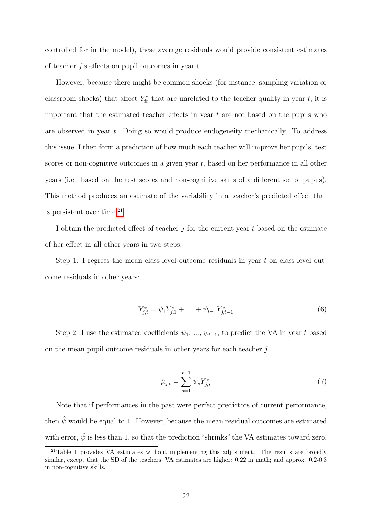controlled for in the model), these average residuals would provide consistent estimates of teacher j's effects on pupil outcomes in year t.

However, because there might be common shocks (for instance, sampling variation or classroom shocks) that affect  $Y_{it}^*$  that are unrelated to the teacher quality in year t, it is important that the estimated teacher effects in year  $t$  are not based on the pupils who are observed in year t. Doing so would produce endogeneity mechanically. To address this issue, I then form a prediction of how much each teacher will improve her pupils' test scores or non-cognitive outcomes in a given year  $t$ , based on her performance in all other years (i.e., based on the test scores and non-cognitive skills of a different set of pupils). This method produces an estimate of the variability in a teacher's predicted effect that is persistent over time. $^{21}$  $^{21}$  $^{21}$ 

I obtain the predicted effect of teacher  $i$  for the current year t based on the estimate of her effect in all other years in two steps:

Step 1: I regress the mean class-level outcome residuals in year t on class-level outcome residuals in other years:

$$
\overline{Y_{j,t}^*} = \psi_1 \overline{Y_{j,1}^*} + \dots + \psi_{t-1} \overline{Y_{j,t-1}^*}
$$
\n(6)

Step 2: I use the estimated coefficients  $\psi_1, \ldots, \psi_{t-1}$ , to predict the VA in year t based on the mean pupil outcome residuals in other years for each teacher j.

$$
\hat{\mu}_{j,t} = \sum_{s=1}^{t-1} \hat{\psi}_s \overline{Y_{j,s}^*}
$$
\n(7)

Note that if performances in the past were perfect predictors of current performance, then  $\hat{\psi}$  would be equal to 1. However, because the mean residual outcomes are estimated with error,  $\hat{\psi}$  is less than 1, so that the prediction "shrinks" the VA estimates toward zero.

<span id="page-21-0"></span><sup>&</sup>lt;sup>21</sup>Table 1 provides VA estimates without implementing this adjustment. The results are broadly similar, except that the SD of the teachers' VA estimates are higher: 0.22 in math; and approx. 0.2-0.3 in non-cognitive skills.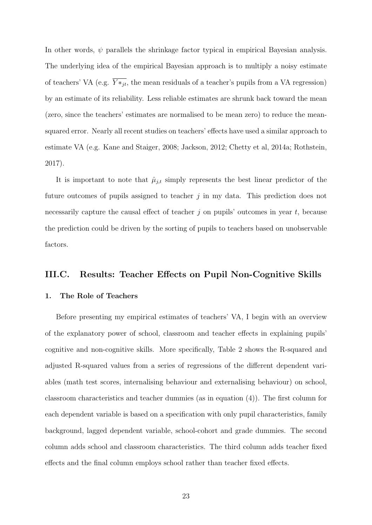In other words,  $\psi$  parallels the shrinkage factor typical in empirical Bayesian analysis. The underlying idea of the empirical Bayesian approach is to multiply a noisy estimate of teachers' VA (e.g.  $\overline{Y*_j_t}$ , the mean residuals of a teacher's pupils from a VA regression) by an estimate of its reliability. Less reliable estimates are shrunk back toward the mean (zero, since the teachers' estimates are normalised to be mean zero) to reduce the meansquared error. Nearly all recent studies on teachers' effects have used a similar approach to estimate VA (e.g. Kane and Staiger, 2008; Jackson, 2012; Chetty et al, 2014a; Rothstein, 2017).

It is important to note that  $\hat{\mu}_{j,t}$  simply represents the best linear predictor of the future outcomes of pupils assigned to teacher  $j$  in my data. This prediction does not necessarily capture the causal effect of teacher  $j$  on pupils' outcomes in year  $t$ , because the prediction could be driven by the sorting of pupils to teachers based on unobservable factors.

### III.C. Results: Teacher Effects on Pupil Non-Cognitive Skills

#### 1. The Role of Teachers

Before presenting my empirical estimates of teachers' VA, I begin with an overview of the explanatory power of school, classroom and teacher effects in explaining pupils' cognitive and non-cognitive skills. More specifically, Table 2 shows the R-squared and adjusted R-squared values from a series of regressions of the different dependent variables (math test scores, internalising behaviour and externalising behaviour) on school, classroom characteristics and teacher dummies (as in equation (4)). The first column for each dependent variable is based on a specification with only pupil characteristics, family background, lagged dependent variable, school-cohort and grade dummies. The second column adds school and classroom characteristics. The third column adds teacher fixed effects and the final column employs school rather than teacher fixed effects.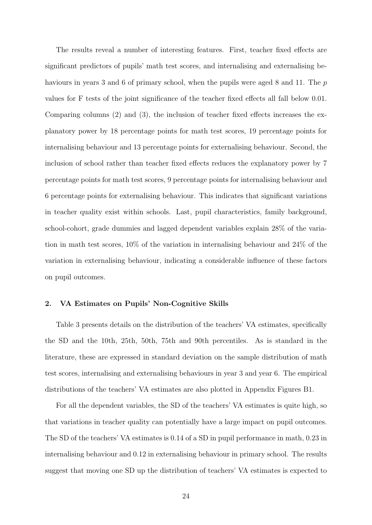The results reveal a number of interesting features. First, teacher fixed effects are significant predictors of pupils' math test scores, and internalising and externalising behaviours in years 3 and 6 of primary school, when the pupils were aged 8 and 11. The p values for F tests of the joint significance of the teacher fixed effects all fall below 0.01. Comparing columns (2) and (3), the inclusion of teacher fixed effects increases the explanatory power by 18 percentage points for math test scores, 19 percentage points for internalising behaviour and 13 percentage points for externalising behaviour. Second, the inclusion of school rather than teacher fixed effects reduces the explanatory power by 7 percentage points for math test scores, 9 percentage points for internalising behaviour and 6 percentage points for externalising behaviour. This indicates that significant variations in teacher quality exist within schools. Last, pupil characteristics, family background, school-cohort, grade dummies and lagged dependent variables explain 28% of the variation in math test scores, 10% of the variation in internalising behaviour and 24% of the variation in externalising behaviour, indicating a considerable influence of these factors on pupil outcomes.

#### 2. VA Estimates on Pupils' Non-Cognitive Skills

Table 3 presents details on the distribution of the teachers' VA estimates, specifically the SD and the 10th, 25th, 50th, 75th and 90th percentiles. As is standard in the literature, these are expressed in standard deviation on the sample distribution of math test scores, internalising and externalising behaviours in year 3 and year 6. The empirical distributions of the teachers' VA estimates are also plotted in Appendix Figures B1.

For all the dependent variables, the SD of the teachers' VA estimates is quite high, so that variations in teacher quality can potentially have a large impact on pupil outcomes. The SD of the teachers' VA estimates is 0.14 of a SD in pupil performance in math, 0.23 in internalising behaviour and 0.12 in externalising behaviour in primary school. The results suggest that moving one SD up the distribution of teachers' VA estimates is expected to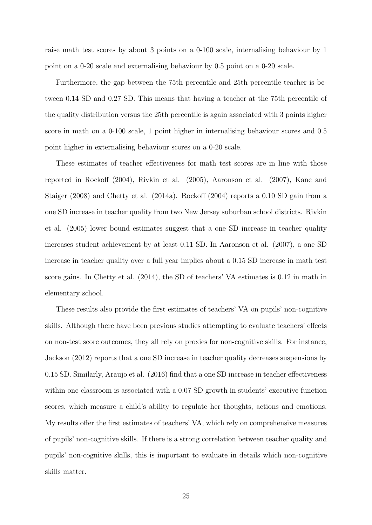raise math test scores by about 3 points on a 0-100 scale, internalising behaviour by 1 point on a 0-20 scale and externalising behaviour by 0.5 point on a 0-20 scale.

Furthermore, the gap between the 75th percentile and 25th percentile teacher is between 0.14 SD and 0.27 SD. This means that having a teacher at the 75th percentile of the quality distribution versus the 25th percentile is again associated with 3 points higher score in math on a 0-100 scale, 1 point higher in internalising behaviour scores and 0.5 point higher in externalising behaviour scores on a 0-20 scale.

These estimates of teacher effectiveness for math test scores are in line with those reported in Rockoff (2004), Rivkin et al. (2005), Aaronson et al. (2007), Kane and Staiger (2008) and Chetty et al. (2014a). Rockoff (2004) reports a 0.10 SD gain from a one SD increase in teacher quality from two New Jersey suburban school districts. Rivkin et al. (2005) lower bound estimates suggest that a one SD increase in teacher quality increases student achievement by at least 0.11 SD. In Aaronson et al. (2007), a one SD increase in teacher quality over a full year implies about a 0.15 SD increase in math test score gains. In Chetty et al. (2014), the SD of teachers' VA estimates is 0.12 in math in elementary school.

These results also provide the first estimates of teachers' VA on pupils' non-cognitive skills. Although there have been previous studies attempting to evaluate teachers' effects on non-test score outcomes, they all rely on proxies for non-cognitive skills. For instance, Jackson (2012) reports that a one SD increase in teacher quality decreases suspensions by 0.15 SD. Similarly, Araujo et al. (2016) find that a one SD increase in teacher effectiveness within one classroom is associated with a 0.07 SD growth in students' executive function scores, which measure a child's ability to regulate her thoughts, actions and emotions. My results offer the first estimates of teachers' VA, which rely on comprehensive measures of pupils' non-cognitive skills. If there is a strong correlation between teacher quality and pupils' non-cognitive skills, this is important to evaluate in details which non-cognitive skills matter.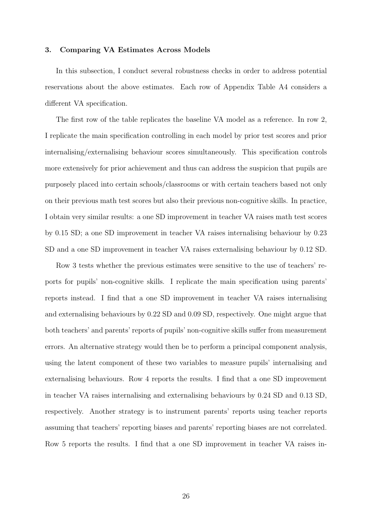#### 3. Comparing VA Estimates Across Models

In this subsection, I conduct several robustness checks in order to address potential reservations about the above estimates. Each row of Appendix Table A4 considers a different VA specification.

The first row of the table replicates the baseline VA model as a reference. In row 2, I replicate the main specification controlling in each model by prior test scores and prior internalising/externalising behaviour scores simultaneously. This specification controls more extensively for prior achievement and thus can address the suspicion that pupils are purposely placed into certain schools/classrooms or with certain teachers based not only on their previous math test scores but also their previous non-cognitive skills. In practice, I obtain very similar results: a one SD improvement in teacher VA raises math test scores by 0.15 SD; a one SD improvement in teacher VA raises internalising behaviour by 0.23 SD and a one SD improvement in teacher VA raises externalising behaviour by 0.12 SD.

Row 3 tests whether the previous estimates were sensitive to the use of teachers' reports for pupils' non-cognitive skills. I replicate the main specification using parents' reports instead. I find that a one SD improvement in teacher VA raises internalising and externalising behaviours by 0.22 SD and 0.09 SD, respectively. One might argue that both teachers' and parents' reports of pupils' non-cognitive skills suffer from measurement errors. An alternative strategy would then be to perform a principal component analysis, using the latent component of these two variables to measure pupils' internalising and externalising behaviours. Row 4 reports the results. I find that a one SD improvement in teacher VA raises internalising and externalising behaviours by 0.24 SD and 0.13 SD, respectively. Another strategy is to instrument parents' reports using teacher reports assuming that teachers' reporting biases and parents' reporting biases are not correlated. Row 5 reports the results. I find that a one SD improvement in teacher VA raises in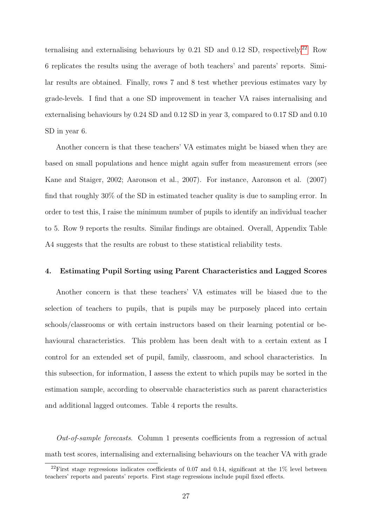ternalising and externalising behaviours by  $0.21$  SD and  $0.12$  SD, respectively.<sup>[22](#page-26-0)</sup> Row 6 replicates the results using the average of both teachers' and parents' reports. Similar results are obtained. Finally, rows 7 and 8 test whether previous estimates vary by grade-levels. I find that a one SD improvement in teacher VA raises internalising and externalising behaviours by 0.24 SD and 0.12 SD in year 3, compared to 0.17 SD and 0.10 SD in year 6.

Another concern is that these teachers' VA estimates might be biased when they are based on small populations and hence might again suffer from measurement errors (see Kane and Staiger, 2002; Aaronson et al., 2007). For instance, Aaronson et al. (2007) find that roughly 30% of the SD in estimated teacher quality is due to sampling error. In order to test this, I raise the minimum number of pupils to identify an individual teacher to 5. Row 9 reports the results. Similar findings are obtained. Overall, Appendix Table A4 suggests that the results are robust to these statistical reliability tests.

#### 4. Estimating Pupil Sorting using Parent Characteristics and Lagged Scores

Another concern is that these teachers' VA estimates will be biased due to the selection of teachers to pupils, that is pupils may be purposely placed into certain schools/classrooms or with certain instructors based on their learning potential or behavioural characteristics. This problem has been dealt with to a certain extent as I control for an extended set of pupil, family, classroom, and school characteristics. In this subsection, for information, I assess the extent to which pupils may be sorted in the estimation sample, according to observable characteristics such as parent characteristics and additional lagged outcomes. Table 4 reports the results.

 $Out-of-sample$  forecasts. Column 1 presents coefficients from a regression of actual math test scores, internalising and externalising behaviours on the teacher VA with grade

<span id="page-26-0"></span><sup>&</sup>lt;sup>22</sup>First stage regressions indicates coefficients of 0.07 and 0.14, significant at the  $1\%$  level between teachers' reports and parents' reports. First stage regressions include pupil fixed effects.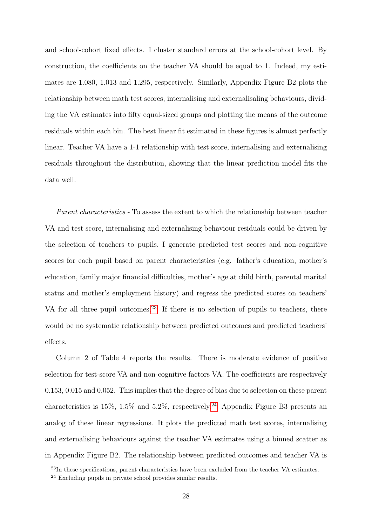and school-cohort fixed effects. I cluster standard errors at the school-cohort level. By construction, the coefficients on the teacher VA should be equal to 1. Indeed, my estimates are 1.080, 1.013 and 1.295, respectively. Similarly, Appendix Figure B2 plots the relationship between math test scores, internalising and externalisaling behaviours, dividing the VA estimates into fifty equal-sized groups and plotting the means of the outcome residuals within each bin. The best linear fit estimated in these figures is almost perfectly linear. Teacher VA have a 1-1 relationship with test score, internalising and externalising residuals throughout the distribution, showing that the linear prediction model fits the data well.

Parent characteristics - To assess the extent to which the relationship between teacher VA and test score, internalising and externalising behaviour residuals could be driven by the selection of teachers to pupils, I generate predicted test scores and non-cognitive scores for each pupil based on parent characteristics (e.g. father's education, mother's education, family major financial difficulties, mother's age at child birth, parental marital status and mother's employment history) and regress the predicted scores on teachers' VA for all three pupil outcomes.<sup>[23](#page-27-0)</sup> If there is no selection of pupils to teachers, there would be no systematic relationship between predicted outcomes and predicted teachers' effects.

Column 2 of Table 4 reports the results. There is moderate evidence of positive selection for test-score VA and non-cognitive factors VA. The coefficients are respectively 0.153, 0.015 and 0.052. This implies that the degree of bias due to selection on these parent characteristics is  $15\%$ ,  $1.5\%$  and  $5.2\%$ , respectively.<sup>[24](#page-27-1)</sup> Appendix Figure B3 presents an analog of these linear regressions. It plots the predicted math test scores, internalising and externalising behaviours against the teacher VA estimates using a binned scatter as in Appendix Figure B2. The relationship between predicted outcomes and teacher VA is

<span id="page-27-0"></span><sup>&</sup>lt;sup>23</sup>In these specifications, parent characteristics have been excluded from the teacher VA estimates.

<span id="page-27-1"></span> $24$  Excluding pupils in private school provides similar results.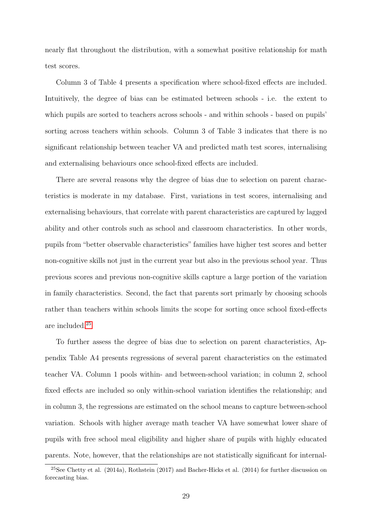nearly flat throughout the distribution, with a somewhat positive relationship for math test scores.

Column 3 of Table 4 presents a specification where school-fixed effects are included. Intuitively, the degree of bias can be estimated between schools - i.e. the extent to which pupils are sorted to teachers across schools - and within schools - based on pupils' sorting across teachers within schools. Column 3 of Table 3 indicates that there is no significant relationship between teacher VA and predicted math test scores, internalising and externalising behaviours once school-fixed effects are included.

There are several reasons why the degree of bias due to selection on parent characteristics is moderate in my database. First, variations in test scores, internalising and externalising behaviours, that correlate with parent characteristics are captured by lagged ability and other controls such as school and classroom characteristics. In other words, pupils from "better observable characteristics" families have higher test scores and better non-cognitive skills not just in the current year but also in the previous school year. Thus previous scores and previous non-cognitive skills capture a large portion of the variation in family characteristics. Second, the fact that parents sort primarly by choosing schools rather than teachers within schools limits the scope for sorting once school fixed-effects are included.[25](#page-28-0)

To further assess the degree of bias due to selection on parent characteristics, Appendix Table A4 presents regressions of several parent characteristics on the estimated teacher VA. Column 1 pools within- and between-school variation; in column 2, school fixed effects are included so only within-school variation identifies the relationship; and in column 3, the regressions are estimated on the school means to capture between-school variation. Schools with higher average math teacher VA have somewhat lower share of pupils with free school meal eligibility and higher share of pupils with highly educated parents. Note, however, that the relationships are not statistically significant for internal-

<span id="page-28-0"></span> $^{25}$ See Chetty et al. (2014a), Rothstein (2017) and Bacher-Hicks et al. (2014) for further discussion on forecasting bias.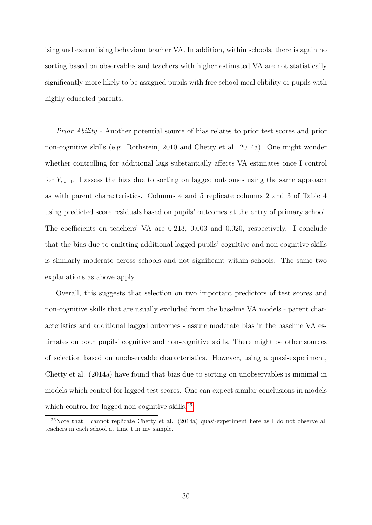ising and exernalising behaviour teacher VA. In addition, within schools, there is again no sorting based on observables and teachers with higher estimated VA are not statistically significantly more likely to be assigned pupils with free school meal elibility or pupils with highly educated parents.

Prior Ability - Another potential source of bias relates to prior test scores and prior non-cognitive skills (e.g. Rothstein, 2010 and Chetty et al. 2014a). One might wonder whether controlling for additional lags substantially affects VA estimates once I control for  $Y_{i,t-1}$ . I assess the bias due to sorting on lagged outcomes using the same approach as with parent characteristics. Columns 4 and 5 replicate columns 2 and 3 of Table 4 using predicted score residuals based on pupils' outcomes at the entry of primary school. The coefficients on teachers' VA are 0.213, 0.003 and 0.020, respectively. I conclude that the bias due to omitting additional lagged pupils' cognitive and non-cognitive skills is similarly moderate across schools and not significant within schools. The same two explanations as above apply.

Overall, this suggests that selection on two important predictors of test scores and non-cognitive skills that are usually excluded from the baseline VA models - parent characteristics and additional lagged outcomes - assure moderate bias in the baseline VA estimates on both pupils' cognitive and non-cognitive skills. There might be other sources of selection based on unobservable characteristics. However, using a quasi-experiment, Chetty et al. (2014a) have found that bias due to sorting on unobservables is minimal in models which control for lagged test scores. One can expect similar conclusions in models which control for lagged non-cognitive skills.<sup>[26](#page-29-0)</sup>

<span id="page-29-0"></span> $^{26}$ Note that I cannot replicate Chetty et al. (2014a) quasi-experiment here as I do not observe all teachers in each school at time t in my sample.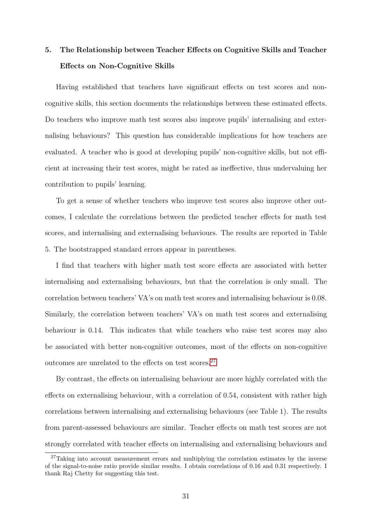# 5. The Relationship between Teacher Effects on Cognitive Skills and Teacher Effects on Non-Cognitive Skills

Having established that teachers have significant effects on test scores and noncognitive skills, this section documents the relationships between these estimated effects. Do teachers who improve math test scores also improve pupils' internalising and externalising behaviours? This question has considerable implications for how teachers are evaluated. A teacher who is good at developing pupils' non-cognitive skills, but not efficient at increasing their test scores, might be rated as ineffective, thus undervaluing her contribution to pupils' learning.

To get a sense of whether teachers who improve test scores also improve other outcomes, I calculate the correlations between the predicted teacher effects for math test scores, and internalising and externalising behaviours. The results are reported in Table 5. The bootstrapped standard errors appear in parentheses.

I find that teachers with higher math test score effects are associated with better internalising and externalising behaviours, but that the correlation is only small. The correlation between teachers' VA's on math test scores and internalising behaviour is 0.08. Similarly, the correlation between teachers' VA's on math test scores and externalising behaviour is 0.14. This indicates that while teachers who raise test scores may also be associated with better non-cognitive outcomes, most of the effects on non-cognitive outcomes are unrelated to the effects on test scores.[27](#page-30-0)

By contrast, the effects on internalising behaviour are more highly correlated with the effects on externalising behaviour, with a correlation of 0.54, consistent with rather high correlations between internalising and externalising behaviours (see Table 1). The results from parent-assessed behaviours are similar. Teacher effects on math test scores are not strongly correlated with teacher effects on internalising and externalising behaviours and

<span id="page-30-0"></span><sup>&</sup>lt;sup>27</sup>Taking into account measurement errors and multiplying the correlation estimates by the inverse of the signal-to-noise ratio provide similar results. I obtain correlations of 0.16 and 0.31 respectively. I thank Raj Chetty for suggesting this test.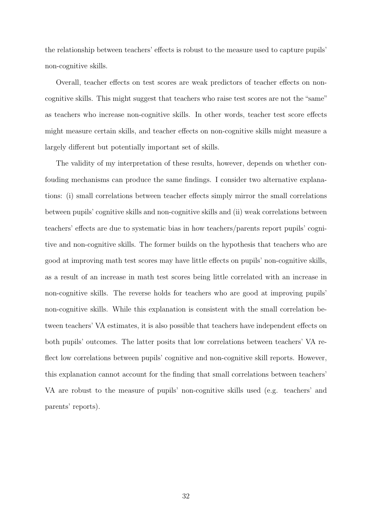the relationship between teachers' effects is robust to the measure used to capture pupils' non-cognitive skills.

Overall, teacher effects on test scores are weak predictors of teacher effects on noncognitive skills. This might suggest that teachers who raise test scores are not the "same" as teachers who increase non-cognitive skills. In other words, teacher test score effects might measure certain skills, and teacher effects on non-cognitive skills might measure a largely different but potentially important set of skills.

The validity of my interpretation of these results, however, depends on whether confouding mechanisms can produce the same findings. I consider two alternative explanations: (i) small correlations between teacher effects simply mirror the small correlations between pupils' cognitive skills and non-cognitive skills and (ii) weak correlations between teachers' effects are due to systematic bias in how teachers/parents report pupils' cognitive and non-cognitive skills. The former builds on the hypothesis that teachers who are good at improving math test scores may have little effects on pupils' non-cognitive skills, as a result of an increase in math test scores being little correlated with an increase in non-cognitive skills. The reverse holds for teachers who are good at improving pupils' non-cognitive skills. While this explanation is consistent with the small correlation between teachers' VA estimates, it is also possible that teachers have independent effects on both pupils' outcomes. The latter posits that low correlations between teachers' VA reflect low correlations between pupils' cognitive and non-cognitive skill reports. However, this explanation cannot account for the finding that small correlations between teachers' VA are robust to the measure of pupils' non-cognitive skills used (e.g. teachers' and parents' reports).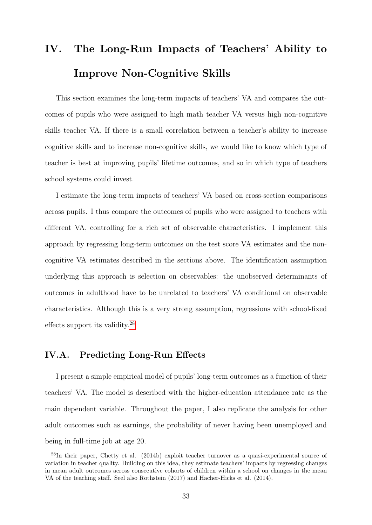# IV. The Long-Run Impacts of Teachers' Ability to Improve Non-Cognitive Skills

This section examines the long-term impacts of teachers' VA and compares the outcomes of pupils who were assigned to high math teacher VA versus high non-cognitive skills teacher VA. If there is a small correlation between a teacher's ability to increase cognitive skills and to increase non-cognitive skills, we would like to know which type of teacher is best at improving pupils' lifetime outcomes, and so in which type of teachers school systems could invest.

I estimate the long-term impacts of teachers' VA based on cross-section comparisons across pupils. I thus compare the outcomes of pupils who were assigned to teachers with different VA, controlling for a rich set of observable characteristics. I implement this approach by regressing long-term outcomes on the test score VA estimates and the noncognitive VA estimates described in the sections above. The identification assumption underlying this approach is selection on observables: the unobserved determinants of outcomes in adulthood have to be unrelated to teachers' VA conditional on observable characteristics. Although this is a very strong assumption, regressions with school-fixed effects support its validity.[28](#page-32-0)

## IV.A. Predicting Long-Run Effects

I present a simple empirical model of pupils' long-term outcomes as a function of their teachers' VA. The model is described with the higher-education attendance rate as the main dependent variable. Throughout the paper, I also replicate the analysis for other adult outcomes such as earnings, the probability of never having been unemployed and being in full-time job at age 20.

<span id="page-32-0"></span><sup>28</sup>In their paper, Chetty et al. (2014b) exploit teacher turnover as a quasi-experimental source of variation in teacher quality. Building on this idea, they estimate teachers' impacts by regressing changes in mean adult outcomes across consecutive cohorts of children within a school on changes in the mean VA of the teaching staff. Seel also Rothstein (2017) and Hacher-Hicks et al. (2014).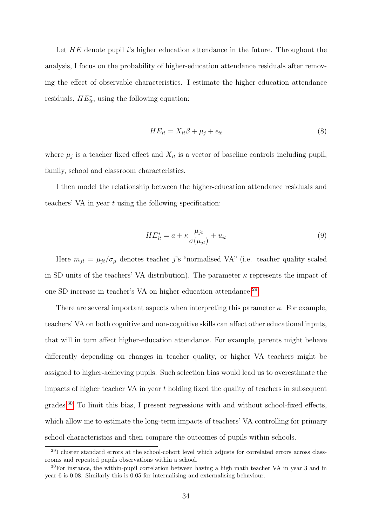Let  $HE$  denote pupil is higher education attendance in the future. Throughout the analysis, I focus on the probability of higher-education attendance residuals after removing the effect of observable characteristics. I estimate the higher education attendance residuals,  $HE_{it}^*$ , using the following equation:

$$
HE_{it} = X_{it}\beta + \mu_j + \epsilon_{it} \tag{8}
$$

where  $\mu_j$  is a teacher fixed effect and  $X_{it}$  is a vector of baseline controls including pupil, family, school and classroom characteristics.

I then model the relationship between the higher-education attendance residuals and teachers' VA in year  $t$  using the following specification:

$$
HE_{it}^* = a + \kappa \frac{\mu_{jt}}{\sigma(\mu_{jt})} + u_{it}
$$
\n<sup>(9)</sup>

Here  $m_{jt} = \mu_{jt}/\sigma_{\mu}$  denotes teacher j's "normalised VA" (i.e. teacher quality scaled in SD units of the teachers' VA distribution). The parameter  $\kappa$  represents the impact of one SD increase in teacher's VA on higher education attendance.[29](#page-33-0)

There are several important aspects when interpreting this parameter  $\kappa$ . For example, teachers' VA on both cognitive and non-cognitive skills can affect other educational inputs, that will in turn affect higher-education attendance. For example, parents might behave differently depending on changes in teacher quality, or higher VA teachers might be assigned to higher-achieving pupils. Such selection bias would lead us to overestimate the impacts of higher teacher VA in year  $t$  holding fixed the quality of teachers in subsequent  $\gamma^{\text{30}}$  $\gamma^{\text{30}}$  $\gamma^{\text{30}}$  To limit this bias, I present regressions with and without school-fixed effects, which allow me to estimate the long-term impacts of teachers' VA controlling for primary school characteristics and then compare the outcomes of pupils within schools.

<span id="page-33-0"></span><sup>29</sup>I cluster standard errors at the school-cohort level which adjusts for correlated errors across classrooms and repeated pupils observations within a school.

<span id="page-33-1"></span><sup>30</sup>For instance, the within-pupil correlation between having a high math teacher VA in year 3 and in year 6 is 0.08. Similarly this is 0.05 for internalising and externalising behaviour.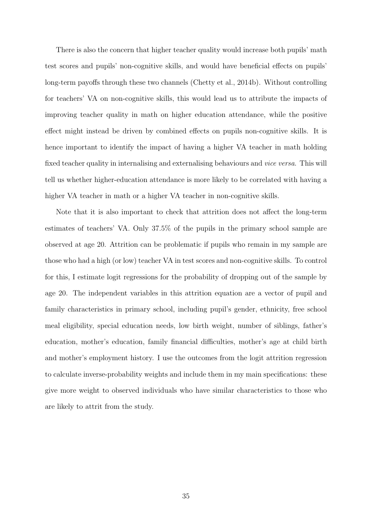There is also the concern that higher teacher quality would increase both pupils' math test scores and pupils' non-cognitive skills, and would have beneficial effects on pupils' long-term payoffs through these two channels (Chetty et al., 2014b). Without controlling for teachers' VA on non-cognitive skills, this would lead us to attribute the impacts of improving teacher quality in math on higher education attendance, while the positive effect might instead be driven by combined effects on pupils non-cognitive skills. It is hence important to identify the impact of having a higher VA teacher in math holding fixed teacher quality in internalising and externalising behaviours and vice versa. This will tell us whether higher-education attendance is more likely to be correlated with having a higher VA teacher in math or a higher VA teacher in non-cognitive skills.

Note that it is also important to check that attrition does not affect the long-term estimates of teachers' VA. Only 37.5% of the pupils in the primary school sample are observed at age 20. Attrition can be problematic if pupils who remain in my sample are those who had a high (or low) teacher VA in test scores and non-cognitive skills. To control for this, I estimate logit regressions for the probability of dropping out of the sample by age 20. The independent variables in this attrition equation are a vector of pupil and family characteristics in primary school, including pupil's gender, ethnicity, free school meal eligibility, special education needs, low birth weight, number of siblings, father's education, mother's education, family financial difficulties, mother's age at child birth and mother's employment history. I use the outcomes from the logit attrition regression to calculate inverse-probability weights and include them in my main specifications: these give more weight to observed individuals who have similar characteristics to those who are likely to attrit from the study.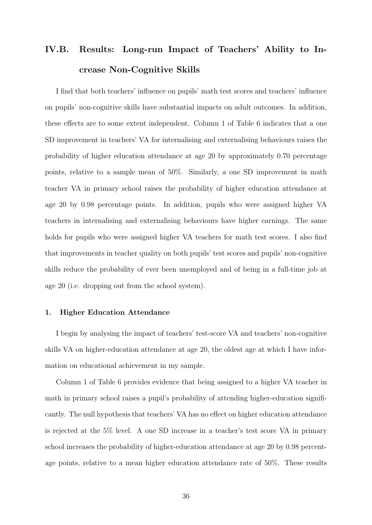# IV.B. Results: Long-run Impact of Teachers' Ability to Increase Non-Cognitive Skills

I find that both teachers' influence on pupils' math test scores and teachers' influence on pupils' non-cognitive skills have substantial impacts on adult outcomes. In addition, these effects are to some extent independent. Column 1 of Table 6 indicates that a one SD improvement in teachers' VA for internalising and externalising behaviours raises the probability of higher education attendance at age 20 by approximately 0.70 percentage points, relative to a sample mean of 50%. Similarly, a one SD improvement in math teacher VA in primary school raises the probability of higher education attendance at age 20 by 0.98 percentage points. In addition, pupils who were assigned higher VA teachers in internalising and externalising behaviours have higher earnings. The same holds for pupils who were assigned higher VA teachers for math test scores. I also find that improvements in teacher quality on both pupils' test scores and pupils' non-cognitive skills reduce the probability of ever been unemployed and of being in a full-time job at age 20 (i.e. dropping out from the school system).

#### 1. Higher Education Attendance

I begin by analysing the impact of teachers' test-score VA and teachers' non-cognitive skills VA on higher-education attendance at age 20, the oldest age at which I have information on educational achievement in my sample.

Column 1 of Table 6 provides evidence that being assigned to a higher VA teacher in math in primary school raises a pupil's probability of attending higher-education significantly. The null hypothesis that teachers' VA has no effect on higher education attendance is rejected at the 5% level. A one SD increase in a teacher's test score VA in primary school increases the probability of higher-education attendance at age 20 by 0.98 percentage points, relative to a mean higher education attendance rate of 50%. These results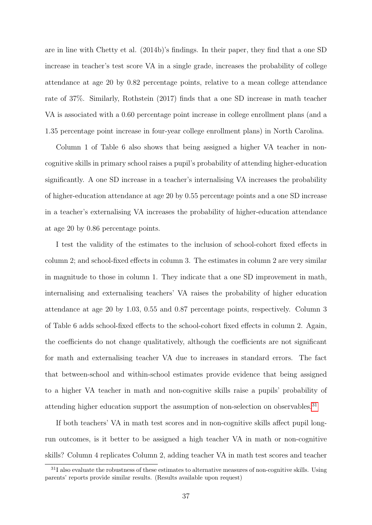are in line with Chetty et al. (2014b)'s findings. In their paper, they find that a one SD increase in teacher's test score VA in a single grade, increases the probability of college attendance at age 20 by 0.82 percentage points, relative to a mean college attendance rate of 37%. Similarly, Rothstein (2017) finds that a one SD increase in math teacher VA is associated with a 0.60 percentage point increase in college enrollment plans (and a 1.35 percentage point increase in four-year college enrollment plans) in North Carolina.

Column 1 of Table 6 also shows that being assigned a higher VA teacher in noncognitive skills in primary school raises a pupil's probability of attending higher-education significantly. A one SD increase in a teacher's internalising VA increases the probability of higher-education attendance at age 20 by 0.55 percentage points and a one SD increase in a teacher's externalising VA increases the probability of higher-education attendance at age 20 by 0.86 percentage points.

I test the validity of the estimates to the inclusion of school-cohort fixed effects in column 2; and school-fixed effects in column 3. The estimates in column 2 are very similar in magnitude to those in column 1. They indicate that a one SD improvement in math, internalising and externalising teachers' VA raises the probability of higher education attendance at age 20 by 1.03, 0.55 and 0.87 percentage points, respectively. Column 3 of Table 6 adds school-fixed effects to the school-cohort fixed effects in column 2. Again, the coefficients do not change qualitatively, although the coefficients are not significant for math and externalising teacher VA due to increases in standard errors. The fact that between-school and within-school estimates provide evidence that being assigned to a higher VA teacher in math and non-cognitive skills raise a pupils' probability of attending higher education support the assumption of non-selection on observables.<sup>[31](#page-36-0)</sup>

If both teachers' VA in math test scores and in non-cognitive skills affect pupil longrun outcomes, is it better to be assigned a high teacher VA in math or non-cognitive skills? Column 4 replicates Column 2, adding teacher VA in math test scores and teacher

<span id="page-36-0"></span> $31$ I also evaluate the robustness of these estimates to alternative measures of non-cognitive skills. Using parents' reports provide similar results. (Results available upon request)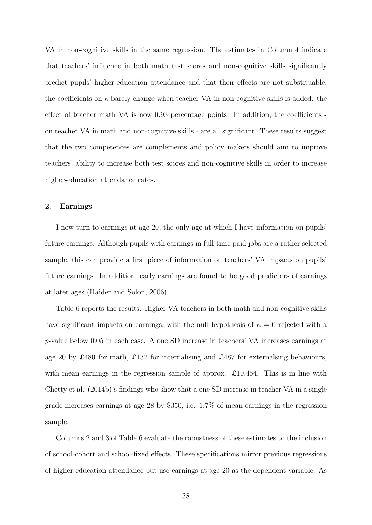VA in non-cognitive skills in the same regression. The estimates in Column 4 indicate that teachers' influence in both math test scores and non-cognitive skills significantly predict pupils' higher-education attendance and that their effects are not substituable: the coefficients on  $\kappa$  barely change when teacher VA in non-cognitive skills is added: the effect of teacher math VA is now 0.93 percentage points. In addition, the coefficients on teacher VA in math and non-cognitive skills - are all significant. These results suggest that the two competences are complements and policy makers should aim to improve teachers' ability to increase both test scores and non-cognitive skills in order to increase higher-education attendance rates.

#### 2. Earnings

I now turn to earnings at age 20, the only age at which I have information on pupils' future earnings. Although pupils with earnings in full-time paid jobs are a rather selected sample, this can provide a first piece of information on teachers' VA impacts on pupils' future earnings. In addition, early earnings are found to be good predictors of earnings at later ages (Haider and Solon, 2006).

Table 6 reports the results. Higher VA teachers in both math and non-cognitive skills have significant impacts on earnings, with the null hypothesis of  $\kappa = 0$  rejected with a p-value below 0.05 in each case. A one SD increase in teachers' VA increases earnings at age 20 by £480 for math, £132 for internalising and £487 for externalsing behaviours, with mean earnings in the regression sample of approx.  $\pounds 10,454$ . This is in line with Chetty et al. (2014b)'s findings who show that a one SD increase in teacher VA in a single grade increases earnings at age 28 by \$350, i.e. 1.7% of mean earnings in the regression sample.

Columns 2 and 3 of Table 6 evaluate the robustness of these estimates to the inclusion of school-cohort and school-fixed effects. These specifications mirror previous regressions of higher education attendance but use earnings at age 20 as the dependent variable. As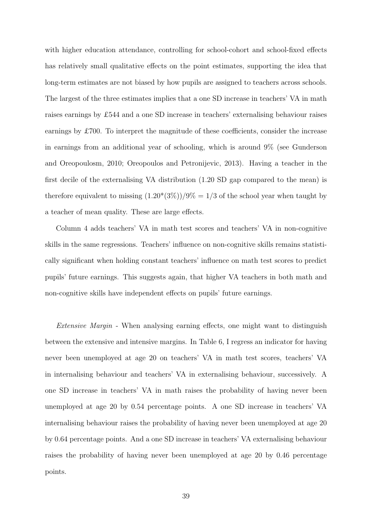with higher education attendance, controlling for school-cohort and school-fixed effects has relatively small qualitative effects on the point estimates, supporting the idea that long-term estimates are not biased by how pupils are assigned to teachers across schools. The largest of the three estimates implies that a one SD increase in teachers' VA in math raises earnings by £544 and a one SD increase in teachers' externalising behaviour raises earnings by £700. To interpret the magnitude of these coefficients, consider the increase in earnings from an additional year of schooling, which is around 9% (see Gunderson and Oreopoulosm, 2010; Oreopoulos and Petronijevic, 2013). Having a teacher in the first decile of the externalising VA distribution (1.20 SD gap compared to the mean) is therefore equivalent to missing  $(1.20*(3\%))/9\% = 1/3$  of the school year when taught by a teacher of mean quality. These are large effects.

Column 4 adds teachers' VA in math test scores and teachers' VA in non-cognitive skills in the same regressions. Teachers' influence on non-cognitive skills remains statistically significant when holding constant teachers' influence on math test scores to predict pupils' future earnings. This suggests again, that higher VA teachers in both math and non-cognitive skills have independent effects on pupils' future earnings.

Extensive Margin - When analysing earning effects, one might want to distinguish between the extensive and intensive margins. In Table 6, I regress an indicator for having never been unemployed at age 20 on teachers' VA in math test scores, teachers' VA in internalising behaviour and teachers' VA in externalising behaviour, successively. A one SD increase in teachers' VA in math raises the probability of having never been unemployed at age 20 by 0.54 percentage points. A one SD increase in teachers' VA internalising behaviour raises the probability of having never been unemployed at age 20 by 0.64 percentage points. And a one SD increase in teachers' VA externalising behaviour raises the probability of having never been unemployed at age 20 by 0.46 percentage points.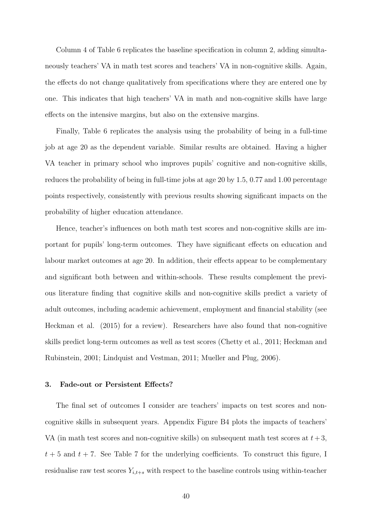Column 4 of Table 6 replicates the baseline specification in column 2, adding simultaneously teachers' VA in math test scores and teachers' VA in non-cognitive skills. Again, the effects do not change qualitatively from specifications where they are entered one by one. This indicates that high teachers' VA in math and non-cognitive skills have large effects on the intensive margins, but also on the extensive margins.

Finally, Table 6 replicates the analysis using the probability of being in a full-time job at age 20 as the dependent variable. Similar results are obtained. Having a higher VA teacher in primary school who improves pupils' cognitive and non-cognitive skills, reduces the probability of being in full-time jobs at age 20 by 1.5, 0.77 and 1.00 percentage points respectively, consistently with previous results showing significant impacts on the probability of higher education attendance.

Hence, teacher's influences on both math test scores and non-cognitive skills are important for pupils' long-term outcomes. They have significant effects on education and labour market outcomes at age 20. In addition, their effects appear to be complementary and significant both between and within-schools. These results complement the previous literature finding that cognitive skills and non-cognitive skills predict a variety of adult outcomes, including academic achievement, employment and financial stability (see Heckman et al. (2015) for a review). Researchers have also found that non-cognitive skills predict long-term outcomes as well as test scores (Chetty et al., 2011; Heckman and Rubinstein, 2001; Lindquist and Vestman, 2011; Mueller and Plug, 2006).

#### 3. Fade-out or Persistent Effects?

The final set of outcomes I consider are teachers' impacts on test scores and noncognitive skills in subsequent years. Appendix Figure B4 plots the impacts of teachers' VA (in math test scores and non-cognitive skills) on subsequent math test scores at  $t + 3$ ,  $t + 5$  and  $t + 7$ . See Table 7 for the underlying coefficients. To construct this figure, I residualise raw test scores  $Y_{i,t+s}$  with respect to the baseline controls using within-teacher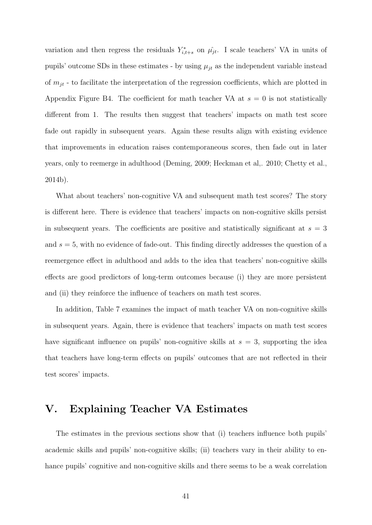variation and then regress the residuals  $Y_{i,t+s}^*$  on  $\hat{\mu}_{jt}$ . I scale teachers' VA in units of pupils' outcome SDs in these estimates - by using  $\mu_{jt}$  as the independent variable instead of  $m_{jt}$  - to facilitate the interpretation of the regression coefficients, which are plotted in Appendix Figure B4. The coefficient for math teacher VA at  $s = 0$  is not statistically different from 1. The results then suggest that teachers' impacts on math test score fade out rapidly in subsequent years. Again these results align with existing evidence that improvements in education raises contemporaneous scores, then fade out in later years, only to reemerge in adulthood (Deming, 2009; Heckman et al,. 2010; Chetty et al., 2014b).

What about teachers' non-cognitive VA and subsequent math test scores? The story is different here. There is evidence that teachers' impacts on non-cognitive skills persist in subsequent years. The coefficients are positive and statistically significant at  $s = 3$ and  $s = 5$ , with no evidence of fade-out. This finding directly addresses the question of a reemergence effect in adulthood and adds to the idea that teachers' non-cognitive skills effects are good predictors of long-term outcomes because (i) they are more persistent and (ii) they reinforce the influence of teachers on math test scores.

In addition, Table 7 examines the impact of math teacher VA on non-cognitive skills in subsequent years. Again, there is evidence that teachers' impacts on math test scores have significant influence on pupils' non-cognitive skills at  $s = 3$ , supporting the idea that teachers have long-term effects on pupils' outcomes that are not reflected in their test scores' impacts.

## V. Explaining Teacher VA Estimates

The estimates in the previous sections show that (i) teachers influence both pupils' academic skills and pupils' non-cognitive skills; (ii) teachers vary in their ability to enhance pupils' cognitive and non-cognitive skills and there seems to be a weak correlation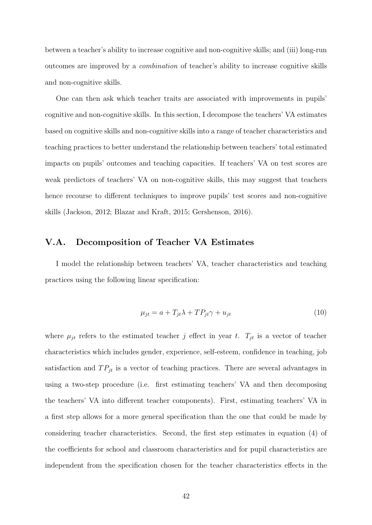between a teacher's ability to increase cognitive and non-cognitive skills; and (iii) long-run outcomes are improved by a combination of teacher's ability to increase cognitive skills and non-cognitive skills.

One can then ask which teacher traits are associated with improvements in pupils' cognitive and non-cognitive skills. In this section, I decompose the teachers' VA estimates based on cognitive skills and non-cognitive skills into a range of teacher characteristics and teaching practices to better understand the relationship between teachers' total estimated impacts on pupils' outcomes and teaching capacities. If teachers' VA on test scores are weak predictors of teachers' VA on non-cognitive skills, this may suggest that teachers hence recourse to different techniques to improve pupils' test scores and non-cognitive skills (Jackson, 2012; Blazar and Kraft, 2015; Gershenson, 2016).

## V.A. Decomposition of Teacher VA Estimates

I model the relationship between teachers' VA, teacher characteristics and teaching practices using the following linear specification:

$$
\mu_{jt} = a + T_{jt}\lambda + TP_{jt}\gamma + u_{jt} \tag{10}
$$

where  $\mu_{jt}$  refers to the estimated teacher j effect in year t.  $T_{jt}$  is a vector of teacher characteristics which includes gender, experience, self-esteem, confidence in teaching, job satisfaction and  $TP_{jt}$  is a vector of teaching practices. There are several advantages in using a two-step procedure (i.e. first estimating teachers' VA and then decomposing the teachers' VA into different teacher components). First, estimating teachers' VA in a first step allows for a more general specification than the one that could be made by considering teacher characteristics. Second, the first step estimates in equation (4) of the coefficients for school and classroom characteristics and for pupil characteristics are independent from the specification chosen for the teacher characteristics effects in the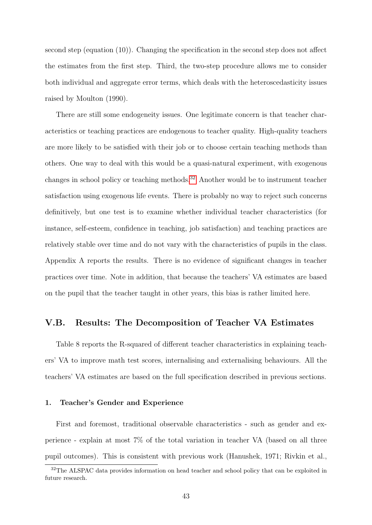second step (equation (10)). Changing the specification in the second step does not affect the estimates from the first step. Third, the two-step procedure allows me to consider both individual and aggregate error terms, which deals with the heteroscedasticity issues raised by Moulton (1990).

There are still some endogeneity issues. One legitimate concern is that teacher characteristics or teaching practices are endogenous to teacher quality. High-quality teachers are more likely to be satisfied with their job or to choose certain teaching methods than others. One way to deal with this would be a quasi-natural experiment, with exogenous changes in school policy or teaching methods.[32](#page-42-0) Another would be to instrument teacher satisfaction using exogenous life events. There is probably no way to reject such concerns definitively, but one test is to examine whether individual teacher characteristics (for instance, self-esteem, confidence in teaching, job satisfaction) and teaching practices are relatively stable over time and do not vary with the characteristics of pupils in the class. Appendix A reports the results. There is no evidence of significant changes in teacher practices over time. Note in addition, that because the teachers' VA estimates are based on the pupil that the teacher taught in other years, this bias is rather limited here.

### V.B. Results: The Decomposition of Teacher VA Estimates

Table 8 reports the R-squared of different teacher characteristics in explaining teachers' VA to improve math test scores, internalising and externalising behaviours. All the teachers' VA estimates are based on the full specification described in previous sections.

#### 1. Teacher's Gender and Experience

First and foremost, traditional observable characteristics - such as gender and experience - explain at most 7% of the total variation in teacher VA (based on all three pupil outcomes). This is consistent with previous work (Hanushek, 1971; Rivkin et al.,

<span id="page-42-0"></span><sup>&</sup>lt;sup>32</sup>The ALSPAC data provides information on head teacher and school policy that can be exploited in future research.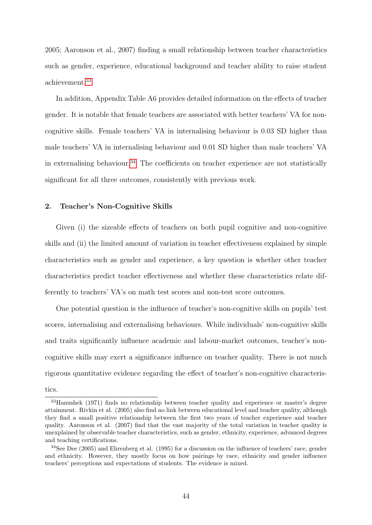2005; Aaronson et al., 2007) finding a small relationship between teacher characteristics such as gender, experience, educational background and teacher ability to raise student achievement.[33](#page-43-0)

In addition, Appendix Table A6 provides detailed information on the effects of teacher gender. It is notable that female teachers are associated with better teachers' VA for noncognitive skills. Female teachers' VA in internalising behaviour is 0.03 SD higher than male teachers' VA in internalising behaviour and 0.01 SD higher than male teachers' VA in externalising behaviour.<sup>[34](#page-43-1)</sup> The coefficients on teacher experience are not statistically significant for all three outcomes, consistently with previous work.

#### 2. Teacher's Non-Cognitive Skills

Given (i) the sizeable effects of teachers on both pupil cognitive and non-cognitive skills and (ii) the limited amount of variation in teacher effectiveness explained by simple characteristics such as gender and experience, a key question is whether other teacher characteristics predict teacher effectiveness and whether these characteristics relate differently to teachers' VA's on math test scores and non-test score outcomes.

One potential question is the influence of teacher's non-cognitive skills on pupils' test scores, internalising and externalising behaviours. While individuals' non-cognitive skills and traits significantly influence academic and labour-market outcomes, teacher's noncognitive skills may exert a significance influence on teacher quality. There is not much rigorous quantitative evidence regarding the effect of teacher's non-cognitive characteristics.

<span id="page-43-0"></span><sup>33</sup>Hanushek (1971) finds no relationship between teacher quality and experience or master's degree attainment. Rivkin et al. (2005) also find no link between educational level and teacher quality, although they find a small positive relationship between the first two years of teacher experience and teacher quality. Aaronson et al. (2007) find that the vast majority of the total variation in teacher quality is unexplained by observable teacher characteristics, such as gender, ethnicity, experience, advanced degrees and teaching certifications.

<span id="page-43-1"></span><sup>34</sup>See Dee (2005) and Ehrenberg et al. (1995) for a discussion on the influence of teachers' race, gender and ethnicity. However, they mostly focus on how pairings by race, ethnicity and gender influence teachers' perceptions and expectations of students. The evidence is mixed.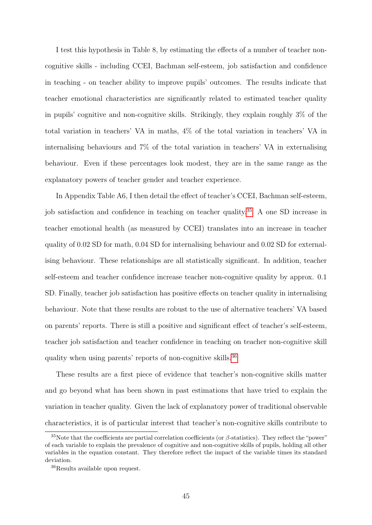I test this hypothesis in Table 8, by estimating the effects of a number of teacher noncognitive skills - including CCEI, Bachman self-esteem, job satisfaction and confidence in teaching - on teacher ability to improve pupils' outcomes. The results indicate that teacher emotional characteristics are significantly related to estimated teacher quality in pupils' cognitive and non-cognitive skills. Strikingly, they explain roughly 3% of the total variation in teachers' VA in maths, 4% of the total variation in teachers' VA in internalising behaviours and 7% of the total variation in teachers' VA in externalising behaviour. Even if these percentages look modest, they are in the same range as the explanatory powers of teacher gender and teacher experience.

In Appendix Table A6, I then detail the effect of teacher's CCEI, Bachman self-esteem, job satisfaction and confidence in teaching on teacher quality.[35](#page-44-0) A one SD increase in teacher emotional health (as measured by CCEI) translates into an increase in teacher quality of 0.02 SD for math, 0.04 SD for internalising behaviour and 0.02 SD for externalising behaviour. These relationships are all statistically significant. In addition, teacher self-esteem and teacher confidence increase teacher non-cognitive quality by approx. 0.1 SD. Finally, teacher job satisfaction has positive effects on teacher quality in internalising behaviour. Note that these results are robust to the use of alternative teachers' VA based on parents' reports. There is still a positive and significant effect of teacher's self-esteem, teacher job satisfaction and teacher confidence in teaching on teacher non-cognitive skill quality when using parents' reports of non-cognitive skills.<sup>[36](#page-44-1)</sup>

These results are a first piece of evidence that teacher's non-cognitive skills matter and go beyond what has been shown in past estimations that have tried to explain the variation in teacher quality. Given the lack of explanatory power of traditional observable characteristics, it is of particular interest that teacher's non-cognitive skills contribute to

<span id="page-44-0"></span><sup>&</sup>lt;sup>35</sup>Note that the coefficients are partial correlation coefficients (or  $\beta$ -statistics). They reflect the "power" of each variable to explain the prevalence of cognitive and non-cognitive skills of pupils, holding all other variables in the equation constant. They therefore reflect the impact of the variable times its standard deviation.

<span id="page-44-1"></span><sup>36</sup>Results available upon request.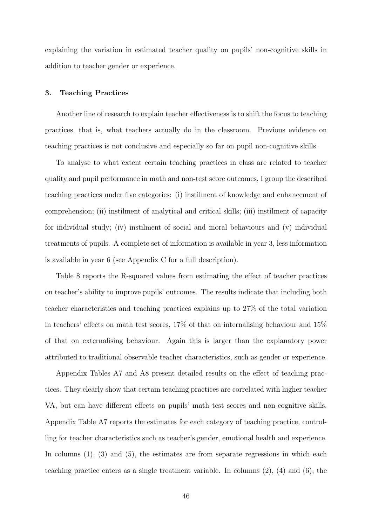explaining the variation in estimated teacher quality on pupils' non-cognitive skills in addition to teacher gender or experience.

#### 3. Teaching Practices

Another line of research to explain teacher effectiveness is to shift the focus to teaching practices, that is, what teachers actually do in the classroom. Previous evidence on teaching practices is not conclusive and especially so far on pupil non-cognitive skills.

To analyse to what extent certain teaching practices in class are related to teacher quality and pupil performance in math and non-test score outcomes, I group the described teaching practices under five categories: (i) instilment of knowledge and enhancement of comprehension; (ii) instilment of analytical and critical skills; (iii) instilment of capacity for individual study; (iv) instilment of social and moral behaviours and (v) individual treatments of pupils. A complete set of information is available in year 3, less information is available in year 6 (see Appendix C for a full description).

Table 8 reports the R-squared values from estimating the effect of teacher practices on teacher's ability to improve pupils' outcomes. The results indicate that including both teacher characteristics and teaching practices explains up to 27% of the total variation in teachers' effects on math test scores, 17% of that on internalising behaviour and 15% of that on externalising behaviour. Again this is larger than the explanatory power attributed to traditional observable teacher characteristics, such as gender or experience.

Appendix Tables A7 and A8 present detailed results on the effect of teaching practices. They clearly show that certain teaching practices are correlated with higher teacher VA, but can have different effects on pupils' math test scores and non-cognitive skills. Appendix Table A7 reports the estimates for each category of teaching practice, controlling for teacher characteristics such as teacher's gender, emotional health and experience. In columns  $(1)$ ,  $(3)$  and  $(5)$ , the estimates are from separate regressions in which each teaching practice enters as a single treatment variable. In columns  $(2)$ ,  $(4)$  and  $(6)$ , the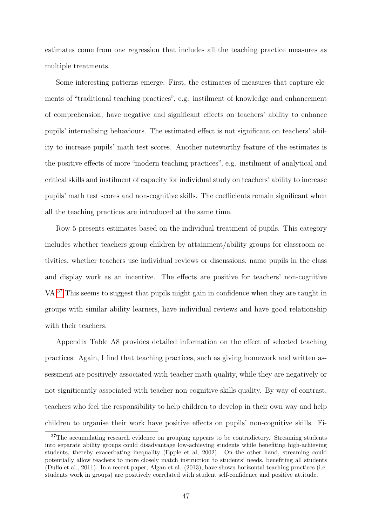estimates come from one regression that includes all the teaching practice measures as multiple treatments.

Some interesting patterns emerge. First, the estimates of measures that capture elements of "traditional teaching practices", e.g. instilment of knowledge and enhancement of comprehension, have negative and significant effects on teachers' ability to enhance pupils' internalising behaviours. The estimated effect is not significant on teachers' ability to increase pupils' math test scores. Another noteworthy feature of the estimates is the positive effects of more "modern teaching practices", e.g. instilment of analytical and critical skills and instilment of capacity for individual study on teachers' ability to increase pupils' math test scores and non-cognitive skills. The coefficients remain significant when all the teaching practices are introduced at the same time.

Row 5 presents estimates based on the individual treatment of pupils. This category includes whether teachers group children by attainment/ability groups for classroom activities, whether teachers use individual reviews or discussions, name pupils in the class and display work as an incentive. The effects are positive for teachers' non-cognitive VA.[37](#page-46-0) This seems to suggest that pupils might gain in confidence when they are taught in groups with similar ability learners, have individual reviews and have good relationship with their teachers.

Appendix Table A8 provides detailed information on the effect of selected teaching practices. Again, I find that teaching practices, such as giving homework and written assessment are positively associated with teacher math quality, while they are negatively or not signiticantly associated with teacher non-cognitive skills quality. By way of contrast, teachers who feel the responsibility to help children to develop in their own way and help children to organise their work have positive effects on pupils' non-cognitive skills. Fi-

<span id="page-46-0"></span><sup>&</sup>lt;sup>37</sup>The accumulating research evidence on grouping appears to be contradictory. Streaming students into separate ability groups could disadvantage low-achieving students while benefiting high-achieving students, thereby exacerbating inequality (Epple et al, 2002). On the other hand, streaming could potentially allow teachers to more closely match instruction to students' needs, benefiting all students (Duflo et al., 2011). In a recent paper, Algan et al. (2013), have shown horizontal teaching practices (i.e. students work in groups) are positively correlated with student self-confidence and positive attitude.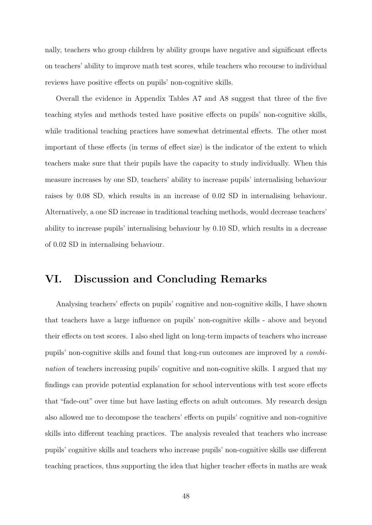nally, teachers who group children by ability groups have negative and significant effects on teachers' ability to improve math test scores, while teachers who recourse to individual reviews have positive effects on pupils' non-cognitive skills.

Overall the evidence in Appendix Tables A7 and A8 suggest that three of the five teaching styles and methods tested have positive effects on pupils' non-cognitive skills, while traditional teaching practices have somewhat detrimental effects. The other most important of these effects (in terms of effect size) is the indicator of the extent to which teachers make sure that their pupils have the capacity to study individually. When this measure increases by one SD, teachers' ability to increase pupils' internalising behaviour raises by 0.08 SD, which results in an increase of 0.02 SD in internalising behaviour. Alternatively, a one SD increase in traditional teaching methods, would decrease teachers' ability to increase pupils' internalising behaviour by 0.10 SD, which results in a decrease of 0.02 SD in internalising behaviour.

## VI. Discussion and Concluding Remarks

Analysing teachers' effects on pupils' cognitive and non-cognitive skills, I have shown that teachers have a large influence on pupils' non-cognitive skills - above and beyond their effects on test scores. I also shed light on long-term impacts of teachers who increase pupils' non-cognitive skills and found that long-run outcomes are improved by a combination of teachers increasing pupils' cognitive and non-cognitive skills. I argued that my findings can provide potential explanation for school interventions with test score effects that "fade-out" over time but have lasting effects on adult outcomes. My research design also allowed me to decompose the teachers' effects on pupils' cognitive and non-cognitive skills into different teaching practices. The analysis revealed that teachers who increase pupils' cognitive skills and teachers who increase pupils' non-cognitive skills use different teaching practices, thus supporting the idea that higher teacher effects in maths are weak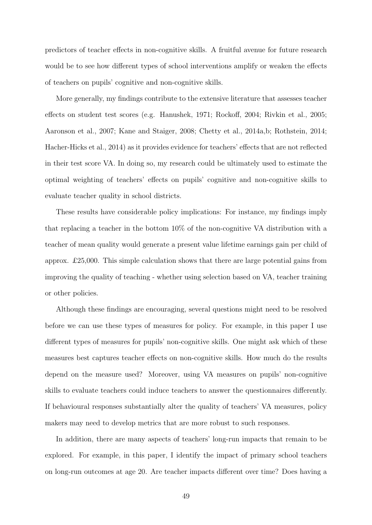predictors of teacher effects in non-cognitive skills. A fruitful avenue for future research would be to see how different types of school interventions amplify or weaken the effects of teachers on pupils' cognitive and non-cognitive skills.

More generally, my findings contribute to the extensive literature that assesses teacher effects on student test scores (e.g. Hanushek, 1971; Rockoff, 2004; Rivkin et al., 2005; Aaronson et al., 2007; Kane and Staiger, 2008; Chetty et al., 2014a,b; Rothstein, 2014; Hacher-Hicks et al., 2014) as it provides evidence for teachers' effects that are not reflected in their test score VA. In doing so, my research could be ultimately used to estimate the optimal weighting of teachers' effects on pupils' cognitive and non-cognitive skills to evaluate teacher quality in school districts.

These results have considerable policy implications: For instance, my findings imply that replacing a teacher in the bottom 10% of the non-cognitive VA distribution with a teacher of mean quality would generate a present value lifetime earnings gain per child of approx. £25,000. This simple calculation shows that there are large potential gains from improving the quality of teaching - whether using selection based on VA, teacher training or other policies.

Although these findings are encouraging, several questions might need to be resolved before we can use these types of measures for policy. For example, in this paper I use different types of measures for pupils' non-cognitive skills. One might ask which of these measures best captures teacher effects on non-cognitive skills. How much do the results depend on the measure used? Moreover, using VA measures on pupils' non-cognitive skills to evaluate teachers could induce teachers to answer the questionnaires differently. If behavioural responses substantially alter the quality of teachers' VA measures, policy makers may need to develop metrics that are more robust to such responses.

In addition, there are many aspects of teachers' long-run impacts that remain to be explored. For example, in this paper, I identify the impact of primary school teachers on long-run outcomes at age 20. Are teacher impacts different over time? Does having a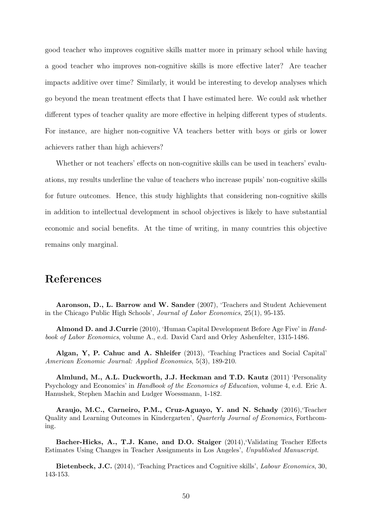good teacher who improves cognitive skills matter more in primary school while having a good teacher who improves non-cognitive skills is more effective later? Are teacher impacts additive over time? Similarly, it would be interesting to develop analyses which go beyond the mean treatment effects that I have estimated here. We could ask whether different types of teacher quality are more effective in helping different types of students. For instance, are higher non-cognitive VA teachers better with boys or girls or lower achievers rather than high achievers?

Whether or not teachers' effects on non-cognitive skills can be used in teachers' evaluations, my results underline the value of teachers who increase pupils' non-cognitive skills for future outcomes. Hence, this study highlights that considering non-cognitive skills in addition to intellectual development in school objectives is likely to have substantial economic and social benefits. At the time of writing, in many countries this objective remains only marginal.

## References

Aaronson, D., L. Barrow and W. Sander (2007), 'Teachers and Student Achievement in the Chicago Public High Schools', Journal of Labor Economics, 25(1), 95-135.

Almond D. and J.Currie (2010), 'Human Capital Development Before Age Five' in Handbook of Labor Economics, volume A., e.d. David Card and Orley Ashenfelter, 1315-1486.

Algan, Y, P. Cahuc and A. Shleifer (2013), 'Teaching Practices and Social Capital' American Economic Journal: Applied Economics, 5(3), 189-210.

Almlund, M., A.L. Duckworth, J.J. Heckman and T.D. Kautz (2011) 'Personality Psychology and Economics' in Handbook of the Economics of Education, volume 4, e.d. Eric A. Hanushek, Stephen Machin and Ludger Woessmann, 1-182.

Araujo, M.C., Carneiro, P.M., Cruz-Aguayo, Y. and N. Schady (2016),'Teacher Quality and Learning Outcomes in Kindergarten', Quarterly Journal of Economics, Forthcoming.

Bacher-Hicks, A., T.J. Kane, and D.O. Staiger (2014),'Validating Teacher Effects Estimates Using Changes in Teacher Assignments in Los Angeles', Unpublished Manuscript.

Bietenbeck, J.C. (2014), 'Teaching Practices and Cognitive skills', Labour Economics, 30, 143-153.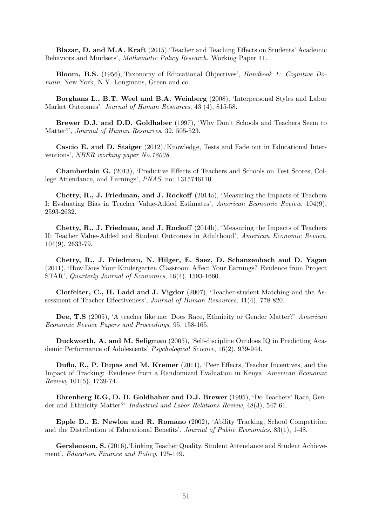Blazar, D. and M.A. Kraft (2015),'Teacher and Teaching Effects on Students' Academic Behaviors and Mindsets', Mathematic Policy Research. Working Paper 41.

Bloom, B.S. (1956),'Taxonomy of Educational Objectives', Handbook 1: Cognitive Domain, New York, N.Y. Longmans, Green and co.

Borghans L., B.T. Weel and B.A. Weinberg (2008), 'Interpersonal Styles and Labor Market Outcomes', Journal of Human Resources, 43 (4), 815-58.

Brewer D.J. and D.D. Goldhaber (1997), 'Why Don't Schools and Teachers Seem to Matter?', Journal of Human Resources, 32, 505-523.

Cascio E. and D. Staiger (2012),'Knowledge, Tests and Fade out in Educational Interventions', NBER working paper No.18038.

Chamberlain G. (2013), 'Predictive Effects of Teachers and Schools on Test Scores, College Attendance, and Earnings', PNAS, no: 1315746110.

Chetty, R., J. Friedman, and J. Rockoff (2014a), 'Measuring the Impacts of Teachers I: Evaluating Bias in Teacher Value-Added Estimates', American Economic Review, 104(9), 2593-2632.

Chetty, R., J. Friedman, and J. Rockoff (2014b), 'Measuring the Impacts of Teachers II: Teacher Value-Added and Student Outcomes in Adulthood', American Economic Review, 104(9), 2633-79.

Chetty, R., J. Friedman, N. Hilger, E. Saez, D. Schanzenbach and D. Yagan (2011), 'How Does Your Kindergarten Classroom Affect Your Earnings? Evidence from Project STAR', Quarterly Journal of Economics, 16(4), 1593-1660.

Clotfelter, C., H. Ladd and J. Vigdor (2007), 'Teacher-student Matching and the Assessment of Teacher Effectiveness', Journal of Human Resources, 41(4), 778-820.

Dee, T.S (2005), 'A teacher like me: Does Race, Ethnicity or Gender Matter?' American Economic Review Papers and Proceedings, 95, 158-165.

Duckworth, A. and M. Seligman (2005), 'Self-discipline Outdoes IQ in Predicting Academic Performance of Adolescents' Psychological Science, 16(2), 939-944.

Duflo, E., P. Dupas and M. Kremer (2011), 'Peer Effects, Teacher Incentives, and the Impact of Tracking: Evidence from a Randomized Evaluation in Kenya' American Economic Review, 101(5), 1739-74.

Ehrenberg R.G, D. D. Goldhaber and D.J. Brewer (1995), 'Do Teachers' Race, Gender and Ethnicity Matter?' Industrial and Labor Relations Review, 48(3), 547-61.

Epple D., E. Newlon and R. Romano (2002), 'Ability Tracking, School Competition and the Distribution of Educational Benefits', Journal of Public Economics, 83(1), 1-48.

Gershenson, S. (2016),'Linking Teacher Quality, Student Attendance and Student Achievement', Education Finance and Policy, 125-149.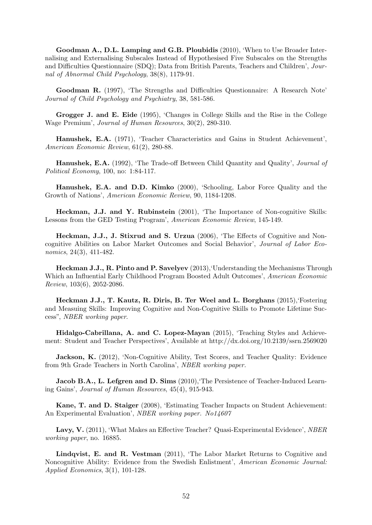Goodman A., D.L. Lamping and G.B. Ploubidis (2010), 'When to Use Broader Internalising and Externalising Subscales Instead of Hypothesised Five Subscales on the Strengths and Difficulties Questionnaire (SDQ); Data from British Parents, Teachers and Children', Journal of Abnormal Child Psychology, 38(8), 1179-91.

Goodman R. (1997), 'The Strengths and Difficulties Questionnaire: A Research Note' Journal of Child Psychology and Psychiatry, 38, 581-586.

Grogger J. and E. Eide (1995), 'Changes in College Skills and the Rise in the College Wage Premium', Journal of Human Resources, 30(2), 280-310.

Hanushek, E.A. (1971), 'Teacher Characteristics and Gains in Student Achievement', American Economic Review, 61(2), 280-88.

Hanushek, E.A. (1992), 'The Trade-off Between Child Quantity and Quality', Journal of Political Economy, 100, no: 1:84-117.

Hanushek, E.A. and D.D. Kimko (2000), 'Schooling, Labor Force Quality and the Growth of Nations', American Economic Review, 90, 1184-1208.

Heckman, J.J. and Y. Rubinstein (2001), 'The Importance of Non-cognitive Skills: Lessons from the GED Testing Program', American Economic Review, 145-149.

Heckman, J.J., J. Stixrud and S. Urzua (2006), 'The Effects of Cognitive and Noncognitive Abilities on Labor Market Outcomes and Social Behavior', Journal of Labor Economics, 24(3), 411-482.

Heckman J.J., R. Pinto and P. Savelyev (2013),'Understanding the Mechanisms Through Which an Influential Early Childhood Program Boosted Adult Outcomes', American Economic Review, 103(6), 2052-2086.

Heckman J.J., T. Kautz, R. Diris, B. Ter Weel and L. Borghans (2015),'Fostering and Measuing Skills: Improving Cognitive and Non-Cognitive Skills to Promote Lifetime Success", NBER working paper.

Hidalgo-Cabrillana, A. and C. Lopez-Mayan (2015), 'Teaching Styles and Achievement: Student and Teacher Perspectives', Available at http://dx.doi.org/10.2139/ssrn.2569020

Jackson, K. (2012), 'Non-Cognitive Ability, Test Scores, and Teacher Quality: Evidence from 9th Grade Teachers in North Carolina', NBER working paper.

**Jacob B.A., L. Lefgren and D. Sims** (2010), The Persistence of Teacher-Induced Learning Gains', Journal of Human Resources, 45(4), 915-943.

Kane, T. and D. Staiger (2008), 'Estimating Teacher Impacts on Student Achievement: An Experimental Evaluation', NBER working paper. No14607

Lavy, V. (2011), 'What Makes an Effective Teacher? Quasi-Experimental Evidence', NBER working paper, no. 16885.

Lindqvist, E. and R. Vestman (2011), 'The Labor Market Returns to Cognitive and Noncognitive Ability: Evidence from the Swedish Enlistment', American Economic Journal: Applied Economics, 3(1), 101-128.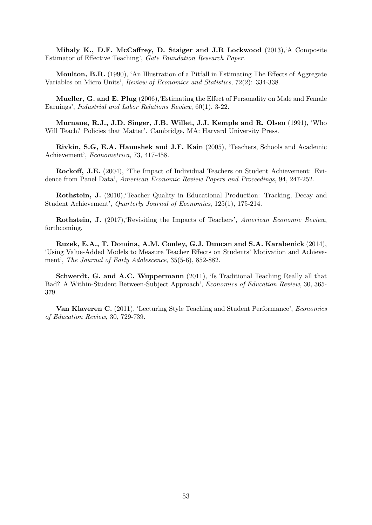Mihaly K., D.F. McCaffrey, D. Staiger and J.R Lockwood (2013),'A Composite Estimator of Effective Teaching', Gate Foundation Research Paper.

Moulton, B.R. (1990), 'An Illustration of a Pitfall in Estimating The Effects of Aggregate Variables on Micro Units', Review of Economics and Statistics, 72(2): 334-338.

Mueller, G. and E. Plug (2006),'Estimating the Effect of Personality on Male and Female Earnings', Industrial and Labor Relations Review, 60(1), 3-22.

Murnane, R.J., J.D. Singer, J.B. Willet, J.J. Kemple and R. Olsen (1991), 'Who Will Teach? Policies that Matter'. Cambridge, MA: Harvard University Press.

Rivkin, S.G, E.A. Hanushek and J.F. Kain (2005), 'Teachers, Schools and Academic Achievement', Econometrica, 73, 417-458.

Rockoff, J.E. (2004), 'The Impact of Individual Teachers on Student Achievement: Evidence from Panel Data', American Economic Review Papers and Proceedings, 94, 247-252.

Rothstein, J. (2010),'Teacher Quality in Educational Production: Tracking, Decay and Student Achievement', Quarterly Journal of Economics, 125(1), 175-214.

Rothstein, J. (2017),'Revisiting the Impacts of Teachers', American Economic Review, forthcoming.

Ruzek, E.A., T. Domina, A.M. Conley, G.J. Duncan and S.A. Karabenick (2014), 'Using Value-Added Models to Measure Teacher Effects on Students' Motivation and Achievement', The Journal of Early Adolescence, 35(5-6), 852-882.

Schwerdt, G. and A.C. Wuppermann (2011), 'Is Traditional Teaching Really all that Bad? A Within-Student Between-Subject Approach', Economics of Education Review, 30, 365- 379.

Van Klaveren C. (2011), 'Lecturing Style Teaching and Student Performance', Economics of Education Review, 30, 729-739.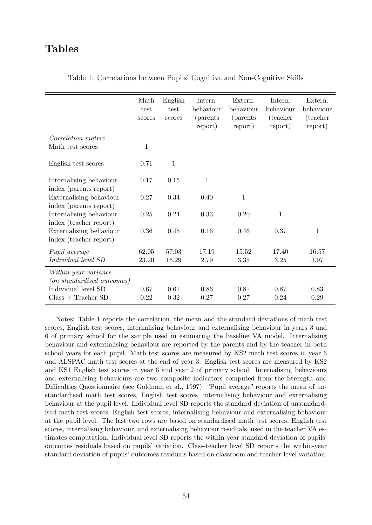# Tables

|                                                            | Math<br>test<br>scores | English<br>test<br>scores | Intern.<br>behaviour<br><i>(parents)</i><br>report) | Extern.<br>behaviour<br><i>(parents)</i><br>report) | Intern.<br>behaviour<br>(teacher)<br>report) | Extern.<br>behaviour<br>(teacher<br>report) |
|------------------------------------------------------------|------------------------|---------------------------|-----------------------------------------------------|-----------------------------------------------------|----------------------------------------------|---------------------------------------------|
| Correlation matrix                                         |                        |                           |                                                     |                                                     |                                              |                                             |
| Math test scores                                           | 1                      |                           |                                                     |                                                     |                                              |                                             |
| English test scores                                        | 0.71                   | $\mathbf{1}$              |                                                     |                                                     |                                              |                                             |
| Internalising behaviour<br>index (parents report)          | 0.17                   | 0.15                      | $\mathbf{1}$                                        |                                                     |                                              |                                             |
| Externalising behaviour                                    | 0.27                   | 0.34                      | 0.40                                                | $\mathbf{1}$                                        |                                              |                                             |
| index (parents report)                                     |                        |                           |                                                     |                                                     |                                              |                                             |
| Internalising behaviour<br>index (teacher report)          | 0.25                   | 0.24                      | 0.33                                                | 0.20                                                | $\mathbf{1}$                                 |                                             |
| Externalising behaviour                                    | 0.36                   | 0.45                      | 0.16                                                | 0.46                                                | 0.37                                         | $\mathbf{1}$                                |
| index (teacher report)                                     |                        |                           |                                                     |                                                     |                                              |                                             |
| Pupil average                                              | 62.05                  | 57.03                     | 17.19                                               | 15.52                                               | 17.40                                        | 16.57                                       |
| Individual level SD                                        | 23.20                  | 16.29                     | 2.79                                                | 3.35                                                | 3.25                                         | 3.97                                        |
| Within-year variance:<br><i>(on standardised outcomes)</i> |                        |                           |                                                     |                                                     |                                              |                                             |
| Individual level SD                                        | 0.67                   | 0.61                      | 0.86                                                | 0.81                                                | 0.87                                         | 0.83                                        |
| $Class + Teacher SD$                                       | 0.22                   | 0.32                      | 0.27                                                | 0.27                                                | 0.24                                         | 0.29                                        |

Table 1: Correlations between Pupils' Cognitive and Non-Cognitive Skills

Notes: Table 1 reports the correlation, the mean and the standard deviations of math test scores, English test scores, internalising behaviour and externalising behaviour in years 3 and 6 of primary school for the sample used in estimating the baseline VA model. Internalising behaviour and externalising behaviour are reported by the parents and by the teacher in both school years for each pupil. Math test scores are measured by KS2 math test scores in year 6 and ALSPAC math test scores at the end of year 3. English test scores are measured by KS2 and KS1 English test scores in year 6 and year 2 of primary school. Internalising behaviours and externalising behaviours are two composite indicators computed from the Strength and Difficulties Questionnaire (see Goldman et al., 1997). "Pupil average" reports the mean of unstandardised math test scores, English test scores, internalising behaviour and externalising behaviour at the pupil level. Individual level SD reports the standard deviation of unstandardised math test scores, English test scores, internalising behaviour and externalising behaviour at the pupil level. The last two rows are based on standardised math test scores, English test scores, internalising behaviour, and externalising behaviour residuals, used in the teacher VA estimates computation. Individual level SD reports the within-year standard deviation of pupils' outcomes residuals based on pupils' variation. Class-teacher level SD reports the within-year standard deviation of pupils' outcomes residuals based on classroom and teacher-level variation.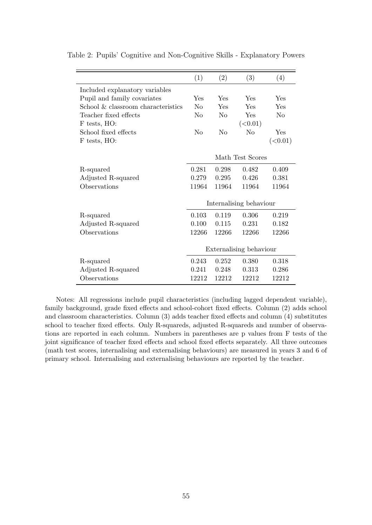|                                    | (1)                     | (2)            | (3)              | (4)            |
|------------------------------------|-------------------------|----------------|------------------|----------------|
| Included explanatory variables     |                         |                |                  |                |
| Pupil and family covariates        | Yes                     | Yes            | Yes              | Yes            |
| School & classroom characteristics | $\rm N_{\Omega}$        | Yes            | Yes              | Yes            |
| Teacher fixed effects              | N <sub>0</sub>          | N <sub>0</sub> | Yes              | N <sub>0</sub> |
| F tests, HO:                       |                         |                | (<0.01)          |                |
| School fixed effects               | N <sub>0</sub>          | N <sub>o</sub> | No               | Yes            |
| F tests, HO:                       |                         |                |                  | (<0.01)        |
|                                    |                         |                |                  |                |
|                                    |                         |                | Math Test Scores |                |
| R-squared                          | 0.281                   | 0.298          | 0.482            | 0.409          |
| Adjusted R-squared                 | 0.279                   | 0.295          | 0.426            | 0.381          |
| Observations                       | 11964                   | 11964          | 11964            | 11964          |
|                                    |                         |                |                  |                |
|                                    | Internalising behaviour |                |                  |                |
| R-squared                          | 0.103                   | 0.119          | 0.306            | 0.219          |
| Adjusted R-squared                 | 0.100                   | 0.115          | 0.231            | 0.182          |
| Observations                       | 12266                   | 12266          | 12266            | 12266          |
|                                    |                         |                |                  |                |
|                                    | Externalising behaviour |                |                  |                |
| R-squared                          | 0.243                   | 0.252          | 0.380            | 0.318          |
| Adjusted R-squared                 | 0.241                   | 0.248          | 0.313            | 0.286          |
| Observations                       | 12212                   | 12212          | 12212            | 12212          |

Table 2: Pupils' Cognitive and Non-Cognitive Skills - Explanatory Powers

Notes: All regressions include pupil characteristics (including lagged dependent variable), family background, grade fixed effects and school-cohort fixed effects. Column (2) adds school and classroom characteristics. Column (3) adds teacher fixed effects and column (4) substitutes school to teacher fixed effects. Only R-squareds, adjusted R-squareds and number of observations are reported in each column. Numbers in parentheses are p values from F tests of the joint significance of teacher fixed effects and school fixed effects separately. All three outcomes (math test scores, internalising and externalising behaviours) are measured in years 3 and 6 of primary school. Internalising and externalising behaviours are reported by the teacher.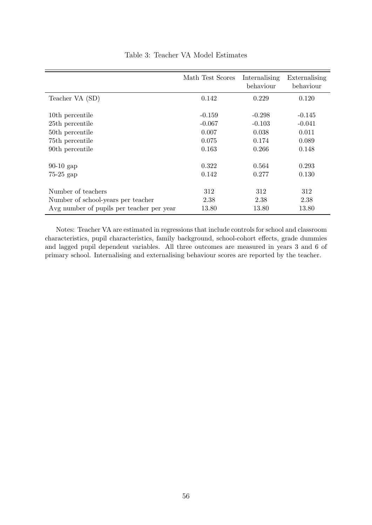|                                           | Math Test Scores     | Internalising<br>behaviour | Externalising<br>behaviour |
|-------------------------------------------|----------------------|----------------------------|----------------------------|
| Teacher VA (SD)                           | 0.142                | 0.229                      | 0.120                      |
| 10th percentile<br>25th percentile        | $-0.159$<br>$-0.067$ | $-0.298$<br>$-0.103$       | $-0.145$<br>$-0.041$       |
| 50th percentile                           | 0.007                | 0.038                      | 0.011                      |
| 75th percentile<br>90th percentile        | 0.075<br>0.163       | 0.174<br>0.266             | 0.089<br>0.148             |
| $90-10$ gap                               | 0.322                | 0.564                      | 0.293                      |
| $75-25$ gap                               | 0.142                | 0.277                      | 0.130                      |
| Number of teachers                        | 312                  | 312                        | 312                        |
| Number of school-years per teacher        | 2.38                 | 2.38                       | 2.38                       |
| Avg number of pupils per teacher per year | 13.80                | 13.80                      | 13.80                      |

### Table 3: Teacher VA Model Estimates

Notes: Teacher VA are estimated in regressions that include controls for school and classroom characteristics, pupil characteristics, family background, school-cohort effects, grade dummies and lagged pupil dependent variables. All three outcomes are measured in years 3 and 6 of primary school. Internalising and externalising behaviour scores are reported by the teacher.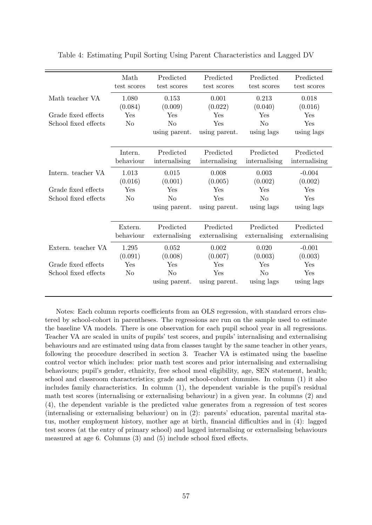|                      | Math<br>test scores  | Predicted<br>test scores   | Predicted<br>test scores   | Predicted<br>test scores   | Predicted<br>test scores   |
|----------------------|----------------------|----------------------------|----------------------------|----------------------------|----------------------------|
| Math teacher VA      | 1.080<br>(0.084)     | 0.153<br>(0.009)           | 0.001<br>(0.022)           | 0.213<br>(0.040)           | 0.018<br>(0.016)           |
| Grade fixed effects  | Yes                  | $\operatorname{Yes}$       | $\operatorname{Yes}$       | ${\rm Yes}$                | $\operatorname{Yes}$       |
| School fixed effects | N <sub>o</sub>       | $\rm No$                   | Yes                        | N <sub>o</sub>             | Yes                        |
|                      |                      | using parent.              | using parent.              | using lags                 | using lags                 |
|                      | Intern.<br>behaviour | Predicted<br>internalising | Predicted<br>internalising | Predicted<br>internalising | Predicted<br>internalising |
| Intern. teacher VA   | 1.013                | 0.015                      | 0.008                      | 0.003                      | $-0.004$                   |
|                      | (0.016)              | (0.001)                    | (0.005)                    | (0.002)                    | (0.002)                    |
| Grade fixed effects  | Yes                  | Yes                        | Yes                        | Yes                        | ${\rm Yes}$                |
| School fixed effects | N <sub>o</sub>       | N <sub>o</sub>             | Yes                        | N <sub>o</sub>             | Yes                        |
|                      |                      | using parent.              | using parent.              | using lags                 | using lags                 |
|                      | Extern.<br>behaviour | Predicted<br>externalising | Predicted<br>externalising | Predicted<br>externalising | Predicted<br>externalising |
| Extern. teacher VA   | 1.295                | 0.052                      | 0.002                      | 0.020                      | $-0.001$                   |
|                      | (0.091)              | (0.008)                    | (0.007)                    | (0.003)                    | (0.003)                    |
| Grade fixed effects  | Yes                  | $\operatorname{Yes}$       | $\operatorname{Yes}$       | Yes                        | Yes                        |
| School fixed effects | N <sub>o</sub>       | $\rm No$                   | Yes                        | N <sub>o</sub>             | Yes                        |
|                      |                      | using parent.              | using parent.              | using lags                 | using lags                 |

Table 4: Estimating Pupil Sorting Using Parent Characteristics and Lagged DV

Notes: Each column reports coefficients from an OLS regression, with standard errors clustered by school-cohort in parentheses. The regressions are run on the sample used to estimate the baseline VA models. There is one observation for each pupil school year in all regressions. Teacher VA are scaled in units of pupils' test scores, and pupils' internalising and externalising behaviours and are estimated using data from classes taught by the same teacher in other years, following the procedure described in section 3. Teacher VA is estimated using the baseline control vector which includes: prior math test scores and prior internalising and externalising behaviours; pupil's gender, ethnicity, free school meal eligibility, age, SEN statement, health; school and classroom characteristics; grade and school-cohort dummies. In column (1) it also includes family characteristics. In column (1), the dependent variable is the pupil's residual math test scores (internalising or externalising behaviour) in a given year. In columns (2) and (4), the dependent variable is the predicted value generates from a regression of test scores (internalising or externalising behaviour) on in (2): parents' education, parental marital status, mother employment history, mother age at birth, financial difficulties and in (4): lagged test scores (at the entry of primary school) and lagged internalising or externalising behaviours measured at age 6. Columns (3) and (5) include school fixed effects.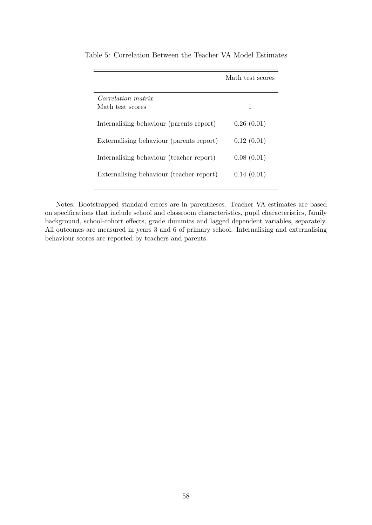|                                          | Math test scores |
|------------------------------------------|------------------|
| <i>Correlation matrix</i>                |                  |
| Math test scores                         | 1                |
| Internalising behaviour (parents report) | 0.26(0.01)       |
| Externalising behaviour (parents report) | 0.12(0.01)       |
| Internalising behaviour (teacher report) | 0.08(0.01)       |
| Externalising behaviour (teacher report) | 0.14(0.01)       |

Table 5: Correlation Between the Teacher VA Model Estimates

Notes: Bootstrapped standard errors are in parentheses. Teacher VA estimates are based on specifications that include school and classroom characteristics, pupil characteristics, family background, school-cohort effects, grade dummies and lagged dependent variables, separately. All outcomes are measured in years 3 and 6 of primary school. Internalising and externalising behaviour scores are reported by teachers and parents.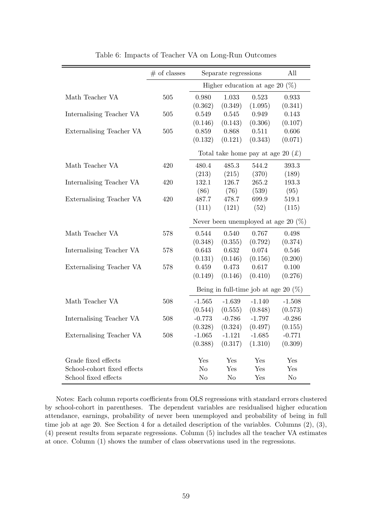|                             | $#$ of classes | Separate regressions              |                |                                                        | All                                    |
|-----------------------------|----------------|-----------------------------------|----------------|--------------------------------------------------------|----------------------------------------|
|                             |                | Higher education at age 20 $(\%)$ |                |                                                        |                                        |
| Math Teacher VA             | 505            | 0.980                             | 1.033          | 0.523                                                  | 0.933                                  |
|                             |                | (0.362)                           | (0.349)        | (1.095)                                                | (0.341)                                |
| Internalising Teacher VA    | 505            | 0.549                             | 0.545          | 0.949                                                  | 0.143                                  |
|                             |                | (0.146)                           | (0.143)        | (0.306)                                                | (0.107)                                |
| Externalising Teacher VA    | 505            | 0.859                             | 0.868          | 0.511                                                  | 0.606                                  |
|                             |                | (0.132)                           | (0.121)        | (0.343)                                                | (0.071)                                |
|                             |                |                                   |                | Total take home pay at age 20 $(\text{\textsterling})$ |                                        |
| Math Teacher VA             | 420            | 480.4                             | 485.3          | 544.2                                                  | 393.3                                  |
|                             |                | (213)                             | (215)          | (370)                                                  | (189)                                  |
| Internalising Teacher VA    | 420            | 132.1                             | 126.7          | 265.2                                                  | 193.3                                  |
|                             |                | (86)                              | (76)           | (539)                                                  | (95)                                   |
| Externalising Teacher VA    | 420            | 487.7                             | 478.7          | 699.9                                                  | 519.1                                  |
|                             |                | (111)                             | (121)          | (52)                                                   | (115)                                  |
|                             |                |                                   |                |                                                        | Never been unemployed at age 20 $(\%)$ |
| Math Teacher VA             | 578            | 0.544                             | 0.540          | 0.767                                                  | 0.498                                  |
|                             |                | (0.348)                           | (0.355)        | (0.792)                                                | (0.374)                                |
| Internalising Teacher VA    | 578            | 0.643                             | 0.632          | 0.074                                                  | 0.546                                  |
|                             |                | (0.131)                           | (0.146)        | (0.156)                                                | (0.200)                                |
| Externalising Teacher VA    | 578            | 0.459                             | 0.473          | 0.617                                                  | 0.100                                  |
|                             |                | (0.149)                           | (0.146)        | (0.410)                                                | (0.276)                                |
|                             |                |                                   |                | Being in full-time job at age 20 $(\%)$                |                                        |
| Math Teacher VA             | 508            | $-1.565$                          | $-1.639$       | $-1.140$                                               | $-1.508$                               |
|                             |                | (0.544)                           | (0.555)        | (0.848)                                                | (0.573)                                |
| Internalising Teacher VA    | 508            | $-0.773$                          | $-0.786$       | $-1.797$                                               | $-0.286$                               |
|                             |                | (0.328)                           | (0.324)        | (0.497)                                                | (0.155)                                |
| Externalising Teacher VA    | 508            | $-1.065$                          | $-1.121$       | $-1.685$                                               | $-0.771$                               |
|                             |                | (0.388)                           | (0.317)        | (1.310)                                                | (0.309)                                |
| Grade fixed effects         |                | Yes                               | Yes            | Yes                                                    | Yes                                    |
| School-cohort fixed effects |                | N <sub>o</sub>                    | Yes            | Yes                                                    | Yes                                    |
| School fixed effects        |                | N <sub>o</sub>                    | N <sub>o</sub> | Yes                                                    | N <sub>o</sub>                         |
|                             |                |                                   |                |                                                        |                                        |

Table 6: Impacts of Teacher VA on Long-Run Outcomes

Notes: Each column reports coefficients from OLS regressions with standard errors clustered by school-cohort in parentheses. The dependent variables are residualised higher education attendance, earnings, probability of never been unemployed and probability of being in full time job at age 20. See Section 4 for a detailed description of the variables. Columns (2), (3), (4) present results from separate regressions. Column (5) includes all the teacher VA estimates at once. Column (1) shows the number of class observations used in the regressions.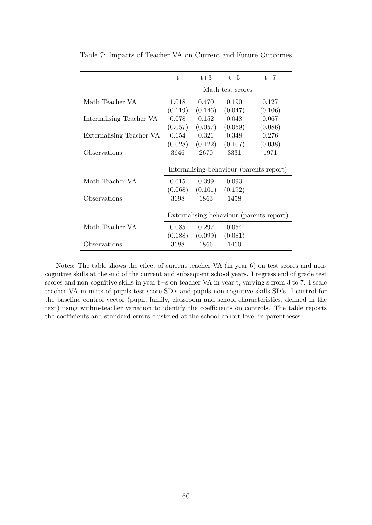|                          | t,                                       | $t+3$   | $t+5$   | $t+7$                                    |  |  |
|--------------------------|------------------------------------------|---------|---------|------------------------------------------|--|--|
|                          | Math test scores                         |         |         |                                          |  |  |
| Math Teacher VA          | 1.018                                    | 0.470   | 0.190   | 0.127                                    |  |  |
|                          | (0.119)                                  | (0.146) | (0.047) | (0.106)                                  |  |  |
| Internalising Teacher VA | 0.078                                    | 0.152   | 0.048   | 0.067                                    |  |  |
|                          | (0.057)                                  | (0.057) | (0.059) | (0.086)                                  |  |  |
| Externalising Teacher VA | 0.154                                    | 0.321   | 0.348   | 0.276                                    |  |  |
|                          | (0.028)                                  | (0.122) | (0.107) | (0.038)                                  |  |  |
| Observations             | 3646                                     | 2670    | 3331    | 1971                                     |  |  |
|                          | Internalising behaviour (parents report) |         |         |                                          |  |  |
| Math Teacher VA          | 0.015                                    | 0.399   | 0.093   |                                          |  |  |
|                          | (0.068)                                  | (0.101) | (0.192) |                                          |  |  |
| Observations             | 3698                                     | 1863    | 1458    |                                          |  |  |
|                          |                                          |         |         | Externalising behaviour (parents report) |  |  |
| Math Teacher VA          | 0.085                                    | 0.297   | 0.054   |                                          |  |  |
|                          | (0.188)                                  | (0.099) | (0.081) |                                          |  |  |
| Observations             | 3688                                     | 1866    | 1460    |                                          |  |  |

Table 7: Impacts of Teacher VA on Current and Future Outcomes

Notes: The table shows the effect of current teacher VA (in year 6) on test scores and noncognitive skills at the end of the current and subsequent school years. I regress end of grade test scores and non-cognitive skills in year t+s on teacher VA in year t, varying s from 3 to 7. I scale teacher VA in units of pupils test score SD's and pupils non-cognitive skills SD's. I control for the baseline control vector (pupil, family, classroom and school characteristics, defined in the text) using within-teacher variation to identify the coefficients on controls. The table reports the coefficients and standard errors clustered at the school-cohort level in parentheses.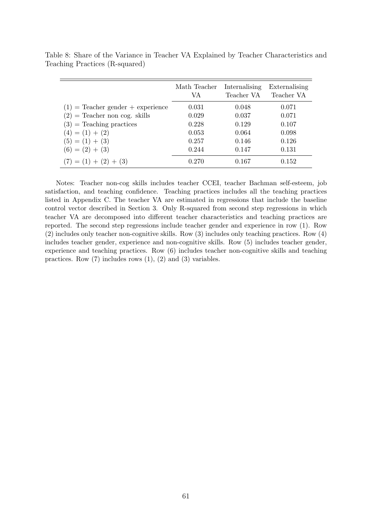|                                     | Math Teacher<br>VA | Internalising<br>Teacher VA | Externalising<br>Teacher VA |
|-------------------------------------|--------------------|-----------------------------|-----------------------------|
| $(1)$ = Teacher gender + experience | 0.031              | 0.048                       | 0.071                       |
| $(2)$ = Teacher non cog. skills     | 0.029              | 0.037                       | 0.071                       |
| $(3)$ = Teaching practices          | 0.228              | 0.129                       | 0.107                       |
| $(4) = (1) + (2)$                   | 0.053              | 0.064                       | 0.098                       |
| $(5) = (1) + (3)$                   | 0.257              | 0.146                       | 0.126                       |
| $(6) = (2) + (3)$                   | 0.244              | 0.147                       | 0.131                       |
| $(7) = (1) + (2) + (3)$             | 0.270              | 0.167                       | 0.152                       |

Table 8: Share of the Variance in Teacher VA Explained by Teacher Characteristics and Teaching Practices (R-squared)

Notes: Teacher non-cog skills includes teacher CCEI, teacher Bachman self-esteem, job satisfaction, and teaching confidence. Teaching practices includes all the teaching practices listed in Appendix C. The teacher VA are estimated in regressions that include the baseline control vector described in Section 3. Only R-squared from second step regressions in which teacher VA are decomposed into different teacher characteristics and teaching practices are reported. The second step regressions include teacher gender and experience in row (1). Row (2) includes only teacher non-cognitive skills. Row (3) includes only teaching practices. Row (4) includes teacher gender, experience and non-cognitive skills. Row (5) includes teacher gender, experience and teaching practices. Row (6) includes teacher non-cognitive skills and teaching practices. Row  $(7)$  includes rows  $(1)$ ,  $(2)$  and  $(3)$  variables.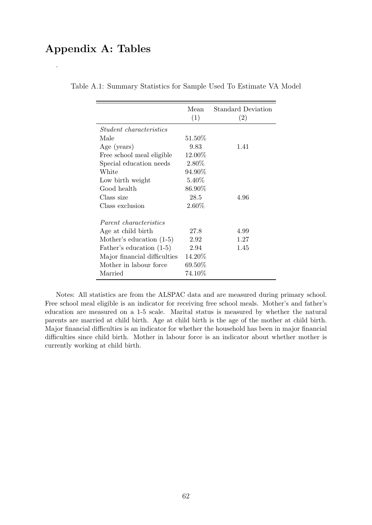# Appendix A: Tables

.

|                                | Mean<br>(1) | <b>Standard Deviation</b><br>(2) |
|--------------------------------|-------------|----------------------------------|
| <i>Student characteristics</i> |             |                                  |
| Male                           | $51.50\%$   |                                  |
| Age (years)                    | 9.83        | 1.41                             |
| Free school meal eligible      | 12.00%      |                                  |
| Special education needs        | 2.80%       |                                  |
| White                          | 94.90%      |                                  |
| Low birth weight               | 5.40%       |                                  |
| Good health                    | 86.90%      |                                  |
| Class size                     | 28.5        | 4.96                             |
| Class exclusion                | $2.60\%$    |                                  |
| Parent characteristics         |             |                                  |
| Age at child birth             | 27.8        | 4.99                             |
| Mother's education $(1-5)$     | 2.92        | 1.27                             |
| Father's education (1-5)       | 2.94        | 1.45                             |
| Major financial difficulties   | 14.20%      |                                  |
| Mother in labour force         | 69.50%      |                                  |
| Married                        | $74.10\%$   |                                  |

Table A.1: Summary Statistics for Sample Used To Estimate VA Model

Notes: All statistics are from the ALSPAC data and are measured during primary school. Free school meal eligible is an indicator for receiving free school meals. Mother's and father's education are measured on a 1-5 scale. Marital status is measured by whether the natural parents are married at child birth. Age at child birth is the age of the mother at child birth. Major financial difficulties is an indicator for whether the household has been in major financial difficulties since child birth. Mother in labour force is an indicator about whether mother is currently working at child birth.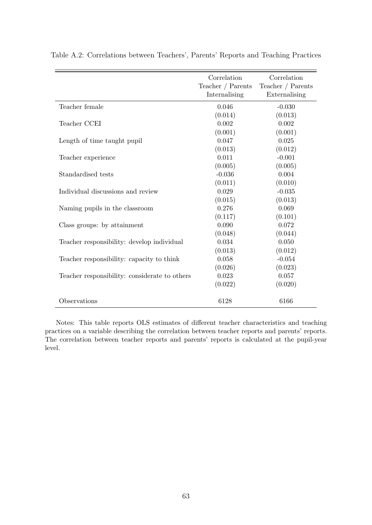|                                               | Correlation<br>Teacher / Parents<br>Internalising | Correlation<br>Teacher $/$ Parents<br>Externalising |
|-----------------------------------------------|---------------------------------------------------|-----------------------------------------------------|
| Teacher female                                | 0.046                                             | $-0.030$                                            |
|                                               | (0.014)                                           | (0.013)                                             |
| Teacher CCEI                                  | 0.002                                             | 0.002                                               |
|                                               | (0.001)                                           | (0.001)                                             |
| Length of time taught pupil                   | 0.047                                             | 0.025                                               |
|                                               | (0.013)                                           | (0.012)                                             |
| Teacher experience                            | 0.011                                             | $-0.001$                                            |
|                                               | (0.005)                                           | (0.005)                                             |
| Standardised tests                            | $-0.036$                                          | 0.004                                               |
|                                               | (0.011)                                           | (0.010)                                             |
| Individual discussions and review             | 0.029                                             | $-0.035$                                            |
|                                               | (0.015)                                           | (0.013)                                             |
| Naming pupils in the classroom                | 0.276                                             | 0.069                                               |
|                                               | (0.117)                                           | (0.101)                                             |
| Class groups: by attainment                   | 0.090                                             | 0.072                                               |
|                                               | (0.048)                                           | (0.044)                                             |
| Teacher responsibility: develop individual    | 0.034                                             | 0.050                                               |
|                                               | (0.013)                                           | (0.012)                                             |
| Teacher responsibility: capacity to think     | 0.058                                             | $-0.054$                                            |
|                                               | (0.026)                                           | (0.023)                                             |
| Teacher responsibility: considerate to others | 0.023                                             | 0.057                                               |
|                                               | (0.022)                                           | (0.020)                                             |
| Observations                                  | 6128                                              | 6166                                                |

Table A.2: Correlations between Teachers', Parents' Reports and Teaching Practices

Notes: This table reports OLS estimates of different teacher characteristics and teaching practices on a variable describing the correlation between teacher reports and parents' reports. The correlation between teacher reports and parents' reports is calculated at the pupil-year level.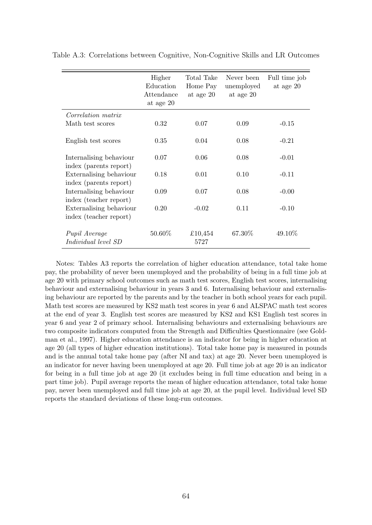|                                                   | Higher<br>Education<br>Attendance<br>at age 20 | Total Take<br>Home Pay<br>at age 20 | Never been<br>unemployed<br>at age 20 | Full time job<br>at age 20 |
|---------------------------------------------------|------------------------------------------------|-------------------------------------|---------------------------------------|----------------------------|
| <i>Correlation matrix</i>                         |                                                |                                     |                                       |                            |
| Math test scores                                  | 0.32                                           | 0.07                                | 0.09                                  | $-0.15$                    |
| English test scores                               | 0.35                                           | 0.04                                | 0.08                                  | $-0.21$                    |
| Internalising behaviour<br>index (parents report) | 0.07                                           | 0.06                                | 0.08                                  | $-0.01$                    |
| Externalising behaviour<br>index (parents report) | 0.18                                           | 0.01                                | 0.10                                  | $-0.11$                    |
| Internalising behaviour<br>index (teacher report) | 0.09                                           | 0.07                                | 0.08                                  | $-0.00$                    |
| Externalising behaviour<br>index (teacher report) | 0.20                                           | $-0.02$                             | 0.11                                  | $-0.10$                    |
| Pupil Average<br><i>Individual level SD</i>       | 50.60%                                         | £10,454<br>5727                     | 67.30%                                | 49.10%                     |

Table A.3: Correlations between Cognitive, Non-Cognitive Skills and LR Outcomes

Notes: Tables A3 reports the correlation of higher education attendance, total take home pay, the probability of never been unemployed and the probability of being in a full time job at age 20 with primary school outcomes such as math test scores, English test scores, internalising behaviour and externalising behaviour in years 3 and 6. Internalising behaviour and externalising behaviour are reported by the parents and by the teacher in both school years for each pupil. Math test scores are measured by KS2 math test scores in year 6 and ALSPAC math test scores at the end of year 3. English test scores are measured by KS2 and KS1 English test scores in year 6 and year 2 of primary school. Internalising behaviours and externalising behaviours are two composite indicators computed from the Strength and Difficulties Questionnaire (see Goldman et al., 1997). Higher education attendance is an indicator for being in higher education at age 20 (all types of higher education institutions). Total take home pay is measured in pounds and is the annual total take home pay (after NI and tax) at age 20. Never been unemployed is an indicator for never having been unemployed at age 20. Full time job at age 20 is an indicator for being in a full time job at age 20 (it excludes being in full time education and being in a part time job). Pupil average reports the mean of higher education attendance, total take home pay, never been unemployed and full time job at age 20, at the pupil level. Individual level SD reports the standard deviations of these long-run outcomes.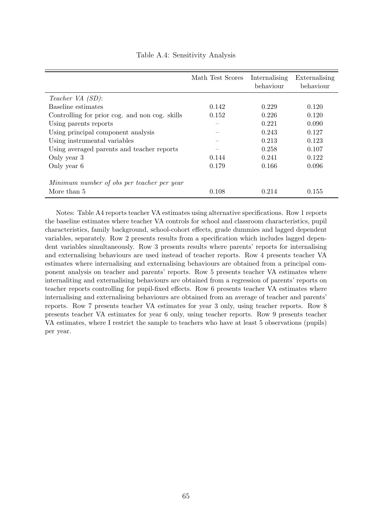|                                                | Math Test Scores | Internalising<br>behaviour | Externalising<br>behaviour |
|------------------------------------------------|------------------|----------------------------|----------------------------|
| Teacher VA (SD):                               |                  |                            |                            |
| Baseline estimates                             | 0.142            | 0.229                      | 0.120                      |
| Controlling for prior cog. and non cog. skills | 0.152            | 0.226                      | 0.120                      |
| Using parents reports                          |                  | 0.221                      | 0.090                      |
| Using principal component analysis             |                  | 0.243                      | 0.127                      |
| Using instrumental variables                   |                  | 0.213                      | 0.123                      |
| Using averaged parents and teacher reports     |                  | 0.258                      | 0.107                      |
| Only year 3                                    | 0.144            | 0.241                      | 0.122                      |
| Only year 6                                    | 0.179            | 0.166                      | 0.096                      |
| Minimum number of obs per teacher per year     |                  |                            |                            |
| More than 5                                    | 0.108            | 0.214                      | 0.155                      |

Table A.4: Sensitivity Analysis

Notes: Table A4 reports teacher VA estimates using alternative specifications. Row 1 reports the baseline estimates where teacher VA controls for school and classroom characteristics, pupil characteristics, family background, school-cohort effects, grade dummies and lagged dependent variables, separately. Row 2 presents results from a specification which includes lagged dependent variables simultaneously. Row 3 presents results where parents' reports for internalising and externalising behaviours are used instead of teacher reports. Row 4 presents teacher VA estimates where internalising and externalising behaviours are obtained from a principal component analysis on teacher and parents' reports. Row 5 presents teacher VA estimates where internaliting and externalising behaviours are obtained from a regression of parents' reports on teacher reports controlling for pupil-fixed effects. Row 6 presents teacher VA estimates where internalising and externalising behaviours are obtained from an average of teacher and parents' reports. Row 7 presents teacher VA estimates for year 3 only, using teacher reports. Row 8 presents teacher VA estimates for year 6 only, using teacher reports. Row 9 presents teacher VA estimates, where I restrict the sample to teachers who have at least 5 observations (pupils) per year.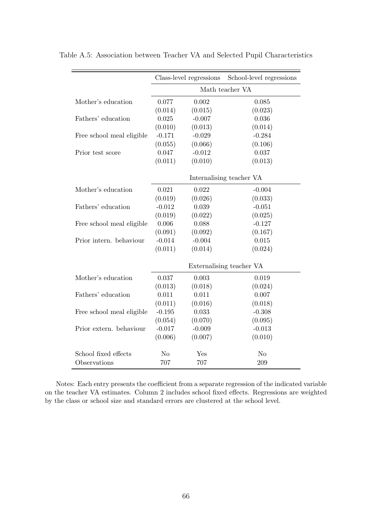|                           | Class-level regressions  |          | School-level regressions |  |  |
|---------------------------|--------------------------|----------|--------------------------|--|--|
|                           | Math teacher VA          |          |                          |  |  |
| Mother's education        | 0.077                    | 0.002    | 0.085                    |  |  |
|                           | (0.014)                  | (0.015)  | (0.023)                  |  |  |
| Fathers' education        | 0.025                    | $-0.007$ | 0.036                    |  |  |
|                           | (0.010)                  | (0.013)  | (0.014)                  |  |  |
| Free school meal eligible | $-0.171$                 | $-0.029$ | $-0.284$                 |  |  |
|                           | (0.055)                  | (0.066)  | (0.106)                  |  |  |
| Prior test score          | 0.047                    | $-0.012$ | 0.037                    |  |  |
|                           | (0.011)                  | (0.010)  | (0.013)                  |  |  |
|                           |                          |          | Internalising teacher VA |  |  |
| Mother's education        | 0.021                    | 0.022    | $-0.004$                 |  |  |
|                           | (0.019)                  | (0.026)  | (0.033)                  |  |  |
| Fathers' education        | $-0.012$                 | 0.039    | $-0.051$                 |  |  |
|                           | (0.019)                  | (0.022)  | (0.025)                  |  |  |
| Free school meal eligible | 0.006                    | 0.088    | $-0.127$                 |  |  |
|                           | (0.091)                  | (0.092)  | (0.167)                  |  |  |
| Prior intern. behaviour   | $-0.014$                 | $-0.004$ | 0.015                    |  |  |
|                           | (0.011)                  | (0.014)  | (0.024)                  |  |  |
|                           | Externalising teacher VA |          |                          |  |  |
| Mother's education        | 0.037                    | 0.003    | 0.019                    |  |  |
|                           | (0.013)                  | (0.018)  | (0.024)                  |  |  |
| Fathers' education        | 0.011                    | 0.011    | 0.007                    |  |  |
|                           | (0.011)                  | (0.016)  | (0.018)                  |  |  |
| Free school meal eligible | $-0.195$                 | 0.033    | $-0.308$                 |  |  |
|                           | (0.054)                  | (0.070)  | (0.095)                  |  |  |
| Prior extern. behaviour   | $-0.017$                 | $-0.009$ | $-0.013$                 |  |  |
|                           | (0.006)                  | (0.007)  | (0.010)                  |  |  |
| School fixed effects      | N <sub>o</sub>           | Yes      | N <sub>o</sub>           |  |  |
| Observations              | 707                      | 707      | 209                      |  |  |

Table A.5: Association between Teacher VA and Selected Pupil Characteristics

Notes: Each entry presents the coefficient from a separate regression of the indicated variable on the teacher VA estimates. Column 2 includes school fixed effects. Regressions are weighted by the class or school size and standard errors are clustered at the school level.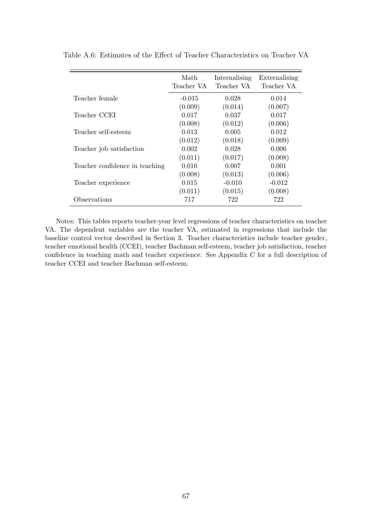|                                | Math<br>Teacher VA | Internalising<br>Teacher VA | Externalising<br>Teacher VA |
|--------------------------------|--------------------|-----------------------------|-----------------------------|
| Teacher female                 | $-0.015$           | 0.028                       | 0.014                       |
|                                | (0.009)            | (0.014)                     | (0.007)                     |
| Teacher CCEI                   | 0.017              | 0.037                       | 0.017                       |
|                                | (0.008)            | (0.012)                     | (0.006)                     |
| Teacher self-esteem            | 0.013              | 0.005                       | 0.012                       |
|                                | (0.012)            | (0.018)                     | (0.009)                     |
| Teacher job satisfaction       | 0.002              | 0.028                       | 0.006                       |
|                                | (0.011)            | (0.017)                     | (0.008)                     |
| Teacher confidence in teaching | 0.016              | 0.007                       | 0.001                       |
|                                | (0.008)            | (0.013)                     | (0.006)                     |
| Teacher experience             | 0.015              | $-0.010$                    | $-0.012$                    |
|                                | (0.011)            | (0.015)                     | (0.008)                     |
| Observations                   | 717                | 722                         | 722                         |

Table A.6: Estimates of the Effect of Teacher Characteristics on Teacher VA

Notes: This tables reports teacher-year level regressions of teacher characteristics on teacher VA. The dependent variables are the teacher VA, estimated in regressions that include the baseline control vector described in Section 3. Teacher characteristics include teacher gender, teacher emotional health (CCEI), teacher Bachman self-esteem, teacher job satisfaction, teacher confidence in teaching math and teacher experience. See Appendix C for a full description of teacher CCEI and teacher Bachman self-esteem.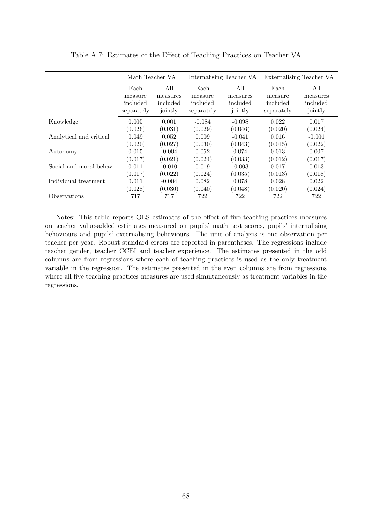|                         | Math Teacher VA |          | Internalising Teacher VA |          | Externalising Teacher VA |          |
|-------------------------|-----------------|----------|--------------------------|----------|--------------------------|----------|
|                         | Each            | All      | All<br>Each              |          | Each                     | All      |
|                         | measure         | measures | measure                  | measures | measure                  | measures |
|                         | included        | included | included                 | included | included                 | included |
|                         | separately      | jointly  | separately               | jointly  | separately               | jointly  |
| Knowledge               | 0.005           | 0.001    | $-0.084$                 | $-0.098$ | 0.022                    | 0.017    |
|                         | (0.026)         | (0.031)  | (0.029)                  | (0.046)  | (0.020)                  | (0.024)  |
| Analytical and critical | 0.049           | 0.052    | 0.009                    | $-0.041$ | 0.016                    | $-0.001$ |
|                         | (0.020)         | (0.027)  | (0.030)                  | (0.043)  | (0.015)                  | (0.022)  |
| Autonomy                | 0.015           | $-0.004$ | 0.052                    | 0.074    | 0.013                    | 0.007    |
|                         | (0.017)         | (0.021)  | (0.024)                  | (0.033)  | (0.012)                  | (0.017)  |
| Social and moral behav. | 0.011           | $-0.010$ | 0.019                    | $-0.003$ | 0.017                    | 0.013    |
|                         | (0.017)         | (0.022)  | (0.024)                  | (0.035)  | (0.013)                  | (0.018)  |
| Individual treatment    | 0.011           | $-0.004$ | 0.082                    | 0.078    | 0.028                    | 0.022    |
|                         | (0.028)         | (0.030)  | (0.040)                  | (0.048)  | (0.020)                  | (0.024)  |
| Observations            | 717             | 717      | 722                      | 722      | 722                      | 722      |

Table A.7: Estimates of the Effect of Teaching Practices on Teacher VA

Notes: This table reports OLS estimates of the effect of five teaching practices measures on teacher value-added estimates measured on pupils' math test scores, pupils' internalising behaviours and pupils' externalising behaviours. The unit of analysis is one observation per teacher per year. Robust standard errors are reported in parentheses. The regressions include teacher gender, teacher CCEI and teacher experience. The estimates presented in the odd columns are from regressions where each of teaching practices is used as the only treatment variable in the regression. The estimates presented in the even columns are from regressions where all five teaching practices measures are used simultaneously as treatment variables in the regressions.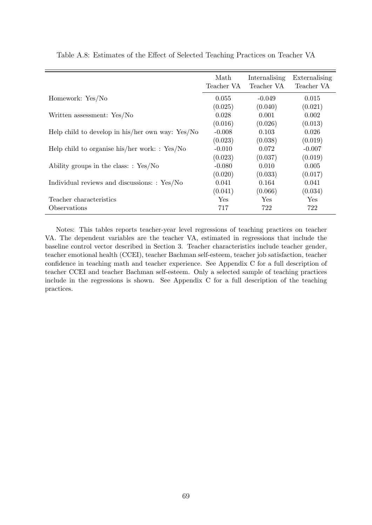|                                                    | Math<br>Teacher VA | Internalising<br>Teacher VA | Externalising<br>Teacher VA |
|----------------------------------------------------|--------------------|-----------------------------|-----------------------------|
| Homework: Yes/No                                   | 0.055              | $-0.049$                    | 0.015                       |
|                                                    | (0.025)            | (0.040)                     | (0.021)                     |
| Written assessment: Yes/No                         | 0.028              | 0.001                       | 0.002                       |
|                                                    | (0.016)            | (0.026)                     | (0.013)                     |
| Help child to develop in his/her own way: $Yes/No$ | $-0.008$           | 0.103                       | 0.026                       |
|                                                    | (0.023)            | (0.038)                     | (0.019)                     |
| Help child to organise his/her work: $: Yes/No$    | $-0.010$           | 0.072                       | $-0.007$                    |
|                                                    | (0.023)            | (0.037)                     | (0.019)                     |
| Ability groups in the class: $: Yes/No$            | $-0.080$           | 0.010                       | 0.005                       |
|                                                    | (0.020)            | (0.033)                     | (0.017)                     |
| Individual reviews and discussions: : Yes/No       | 0.041              | 0.164                       | 0.041                       |
|                                                    | (0.041)            | (0.066)                     | (0.034)                     |
| Teacher characteristics                            | Yes                | Yes                         | Yes                         |
| Observations                                       | 717                | 722                         | 722                         |

Table A.8: Estimates of the Effect of Selected Teaching Practices on Teacher VA

Notes: This tables reports teacher-year level regressions of teaching practices on teacher VA. The dependent variables are the teacher VA, estimated in regressions that include the baseline control vector described in Section 3. Teacher characteristics include teacher gender, teacher emotional health (CCEI), teacher Bachman self-esteem, teacher job satisfaction, teacher confidence in teaching math and teacher experience. See Appendix C for a full description of teacher CCEI and teacher Bachman self-esteem. Only a selected sample of teaching practices include in the regressions is shown. See Appendix C for a full description of the teaching practices.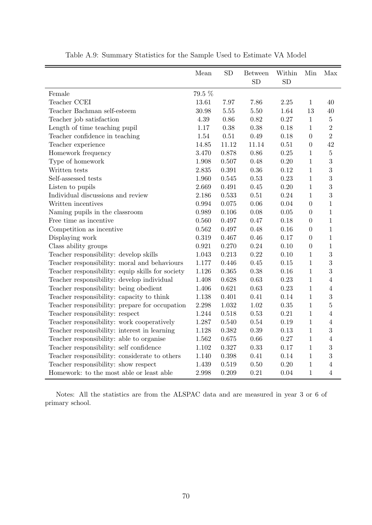|                                                  | Mean   | <b>SD</b> | <b>Between</b><br><b>SD</b> | Within<br><b>SD</b> | Min            | Max            |
|--------------------------------------------------|--------|-----------|-----------------------------|---------------------|----------------|----------------|
| Female                                           | 79.5 % |           |                             |                     |                |                |
| Teacher CCEI                                     | 13.61  | 7.97      | 7.86                        | 2.25                | $\mathbf{1}$   | 40             |
| Teacher Bachman self-esteem                      | 30.98  | 5.55      | 5.50                        | 1.64                | 13             | 40             |
| Teacher job satisfaction                         | 4.39   | 0.86      | 0.82                        | 0.27                | $\mathbf{1}$   | $\overline{5}$ |
| Length of time teaching pupil                    | 1.17   | 0.38      | 0.38                        | 0.18                | $\mathbf{1}$   | $\overline{2}$ |
| Teacher confidence in teaching                   | 1.54   | 0.51      | 0.49                        | 0.18                | $\overline{0}$ | $\overline{2}$ |
| Teacher experience                               | 14.85  | 11.12     | 11.14                       | 0.51                | $\overline{0}$ | 42             |
| Homework frequency                               | 3.470  | 0.878     | 0.86                        | 0.25                | 1              | $\overline{5}$ |
| Type of homework                                 | 1.908  | 0.507     | 0.48                        | 0.20                | $\mathbf{1}$   | 3              |
| Written tests                                    | 2.835  | 0.391     | 0.36                        | 0.12                | $\mathbf{1}$   | 3              |
| Self-assessed tests                              | 1.960  | 0.545     | 0.53                        | 0.23                | $\mathbf{1}$   | 3              |
| Listen to pupils                                 | 2.669  | 0.491     | 0.45                        | 0.20                | $\mathbf{1}$   | 3              |
| Individual discussions and review                | 2.186  | 0.533     | 0.51                        | 0.24                | $\mathbf{1}$   | 3              |
| Written incentives                               | 0.994  | 0.075     | 0.06                        | 0.04                | $\overline{0}$ | $\mathbf{1}$   |
| Naming pupils in the classroom                   | 0.989  | 0.106     | 0.08                        | 0.05                | $\overline{0}$ | $\mathbf{1}$   |
| Free time as incentive                           | 0.560  | 0.497     | 0.47                        | 0.18                | $\overline{0}$ | $\mathbf{1}$   |
| Competition as incentive                         | 0.562  | 0.497     | 0.48                        | 0.16                | $\overline{0}$ | $\mathbf{1}$   |
| Displaying work                                  | 0.319  | 0.467     | 0.46                        | 0.17                | $\overline{0}$ | $\mathbf{1}$   |
| Class ability groups                             | 0.921  | 0.270     | 0.24                        | 0.10                | $\overline{0}$ | $\mathbf{1}$   |
| Teacher responsibility: develop skills           | 1.043  | 0.213     | 0.22                        | 0.10                | $\mathbf{1}$   | 3              |
| Teacher responsibility: moral and behaviours     | 1.177  | 0.446     | 0.45                        | 0.15                | $\mathbf{1}$   | 3              |
| Teacher responsibility: equip skills for society | 1.126  | 0.365     | 0.38                        | 0.16                | $\mathbf{1}$   | 3              |
| Teacher responsibility: develop individual       | 1.408  | 0.628     | 0.63                        | 0.23                | $\mathbf{1}$   | $\overline{4}$ |
| Teacher responsibility: being obedient           | 1.406  | 0.621     | 0.63                        | 0.23                | $\mathbf{1}$   | $\overline{4}$ |
| Teacher responsibility: capacity to think        | 1.138  | 0.401     | 0.41                        | 0.14                | $\mathbf{1}$   | 3              |
| Teacher responsibility: prepare for occupation   | 2.298  | 1.032     | 1.02                        | 0.35                | $\mathbf{1}$   | $\overline{5}$ |
| Teacher responsibility: respect                  | 1.244  | 0.518     | 0.53                        | 0.21                | $\mathbf{1}$   | $\overline{4}$ |
| Teacher responsibility: work cooperatively       | 1.287  | 0.540     | 0.54                        | 0.19                | $\mathbf{1}$   | $\overline{4}$ |
| Teacher responsibility: interest in learning     | 1.128  | 0.382     | 0.39                        | 0.13                | $\mathbf{1}$   | 3              |
| Teacher responsibility: able to organise         | 1.562  | 0.675     | 0.66                        | 0.27                | $\mathbf{1}$   | $\overline{4}$ |
| Teacher responsibility: self confidence          | 1.102  | 0.327     | 0.33                        | 0.17                | $\mathbf{1}$   | 3              |
| Teacher responsibility: considerate to others    | 1.140  | 0.398     | 0.41                        | 0.14                | $\mathbf{1}$   | 3              |
| Teacher responsibility: show respect             | 1.439  | 0.519     | $0.50\,$                    | 0.20                | $\mathbf{1}$   | $\overline{4}$ |
| Homework: to the most able or least able         | 2.998  | 0.209     | 0.21                        | 0.04                | $\mathbf{1}$   | $\overline{4}$ |

Table A.9: Summary Statistics for the Sample Used to Estimate VA Model

Notes: All the statistics are from the ALSPAC data and are measured in year 3 or 6 of primary school.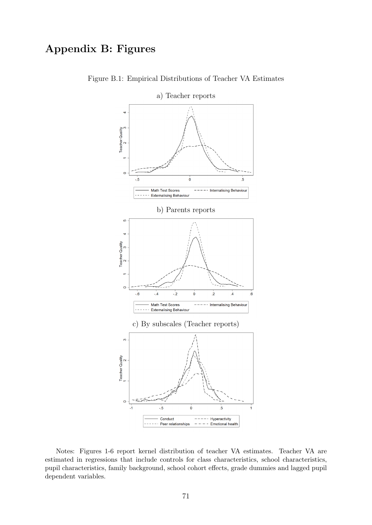# Appendix B: Figures



Figure B.1: Empirical Distributions of Teacher VA Estimates

Notes: Figures 1-6 report kernel distribution of teacher VA estimates. Teacher VA are estimated in regressions that include controls for class characteristics, school characteristics, pupil characteristics, family background, school cohort effects, grade dummies and lagged pupil dependent variables.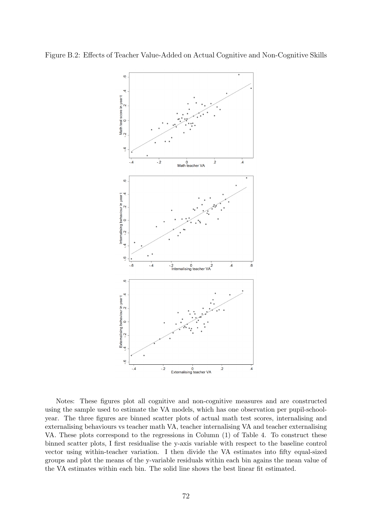

Notes: These figures plot all cognitive and non-cognitive measures and are constructed using the sample used to estimate the VA models, which has one observation per pupil-schoolyear. The three figures are binned scatter plots of actual math test scores, internalising and externalising behaviours vs teacher math VA, teacher internalising VA and teacher externalising VA. These plots correspond to the regressions in Column (1) of Table 4. To construct these binned scatter plots, I first residualise the y-axis variable with respect to the baseline control vector using within-teacher variation. I then divide the VA estimates into fifty equal-sized groups and plot the means of the y-variable residuals within each bin agains the mean value of the VA estimates within each bin. The solid line shows the best linear fit estimated.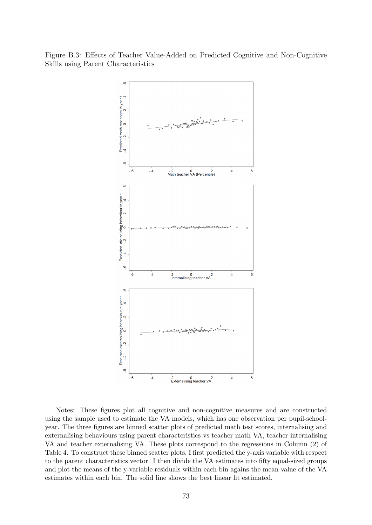Figure B.3: Effects of Teacher Value-Added on Predicted Cognitive and Non-Cognitive Skills using Parent Characteristics



Notes: These figures plot all cognitive and non-cognitive measures and are constructed using the sample used to estimate the VA models, which has one observation per pupil-schoolyear. The three figures are binned scatter plots of predicted math test scores, internalising and externalising behaviours using parent characteristics vs teacher math VA, teacher internalising VA and teacher externalising VA. These plots correspond to the regressions in Column (2) of Table 4. To construct these binned scatter plots, I first predicted the y-axis variable with respect to the parent characteristics vector. I then divide the VA estimates into fifty equal-sized groups and plot the means of the y-variable residuals within each bin agains the mean value of the VA estimates within each bin. The solid line shows the best linear fit estimated.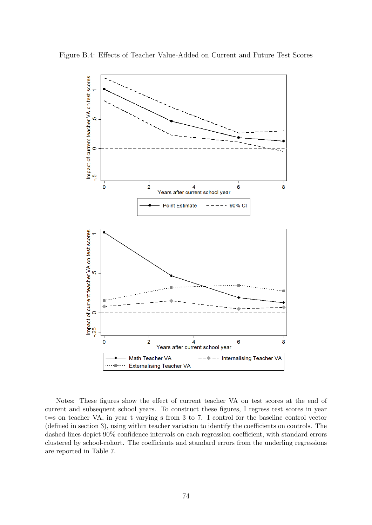

Figure B.4: Effects of Teacher Value-Added on Current and Future Test Scores

Notes: These figures show the effect of current teacher VA on test scores at the end of current and subsequent school years. To construct these figures, I regress test scores in year t=s on teacher VA, in year t varying s from 3 to 7. I control for the baseline control vector (defined in section 3), using within teacher variation to identify the coefficients on controls. The dashed lines depict 90% confidence intervals on each regression coefficient, with standard errors clustered by school-cohort. The coefficients and standard errors from the underling regressions are reported in Table 7.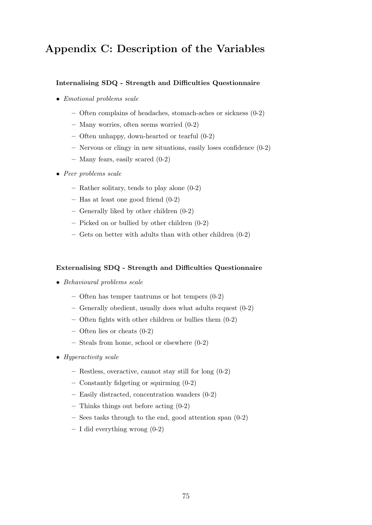# Appendix C: Description of the Variables

## Internalising SDQ - Strength and Difficulties Questionnaire

- Emotional problems scale
	- Often complains of headaches, stomach-aches or sickness (0-2)
	- Many worries, often seems worried (0-2)
	- Often unhappy, down-hearted or tearful (0-2)
	- Nervous or clingy in new situations, easily loses confidence (0-2)
	- Many fears, easily scared (0-2)
- Peer problems scale
	- Rather solitary, tends to play alone (0-2)
	- Has at least one good friend (0-2)
	- Generally liked by other children (0-2)
	- Picked on or bullied by other children (0-2)
	- Gets on better with adults than with other children (0-2)

#### Externalising SDQ - Strength and Difficulties Questionnaire

- Behavioural problems scale
	- Often has temper tantrums or hot tempers (0-2)
	- Generally obedient, usually does what adults request (0-2)
	- Often fights with other children or bullies them (0-2)
	- Often lies or cheats (0-2)
	- Steals from home, school or elsewhere (0-2)
- Hyperactivity scale
	- Restless, overactive, cannot stay still for long (0-2)
	- Constantly fidgeting or squirming (0-2)
	- Easily distracted, concentration wanders (0-2)
	- Thinks things out before acting (0-2)
	- Sees tasks through to the end, good attention span (0-2)
	- $I$  did everything wrong  $(0-2)$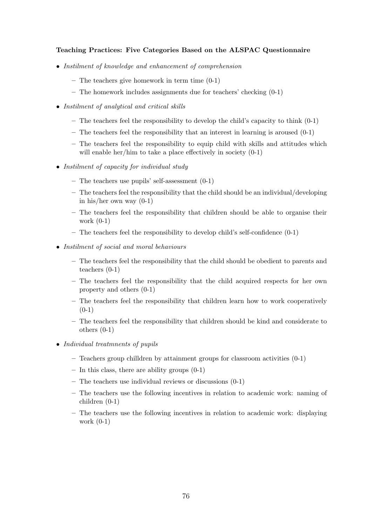### Teaching Practices: Five Categories Based on the ALSPAC Questionnaire

- Instilment of knowledge and enhancement of comprehension
	- The teachers give homework in term time (0-1)
	- The homework includes assignments due for teachers' checking (0-1)
- Instilment of analytical and critical skills
	- $-$  The teachers feel the responsibility to develop the child's capacity to think  $(0-1)$
	- The teachers feel the responsibility that an interest in learning is aroused (0-1)
	- The teachers feel the responsibility to equip child with skills and attitudes which will enable her/him to take a place effectively in society  $(0-1)$
- Instilment of capacity for individual study
	- The teachers use pupils' self-assessment  $(0-1)$
	- The teachers feel the responsibility that the child should be an individual/developing in his/her own way (0-1)
	- The teachers feel the responsibility that children should be able to organise their work (0-1)
	- The teachers feel the responsibility to develop child's self-confidence (0-1)
- Instilment of social and moral behaviours
	- The teachers feel the responsibility that the child should be obedient to parents and teachers (0-1)
	- The teachers feel the responsibility that the child acquired respects for her own property and others (0-1)
	- The teachers feel the responsibility that children learn how to work cooperatively  $(0-1)$
	- The teachers feel the responsibility that children should be kind and considerate to others (0-1)
- Individual treatmnents of pupils
	- $-$  Teachers group chilldren by attainment groups for classroom activities  $(0-1)$
	- $-$  In this class, there are ability groups  $(0-1)$
	- The teachers use individual reviews or discussions (0-1)
	- The teachers use the following incentives in relation to academic work: naming of children (0-1)
	- The teachers use the following incentives in relation to academic work: displaying work (0-1)